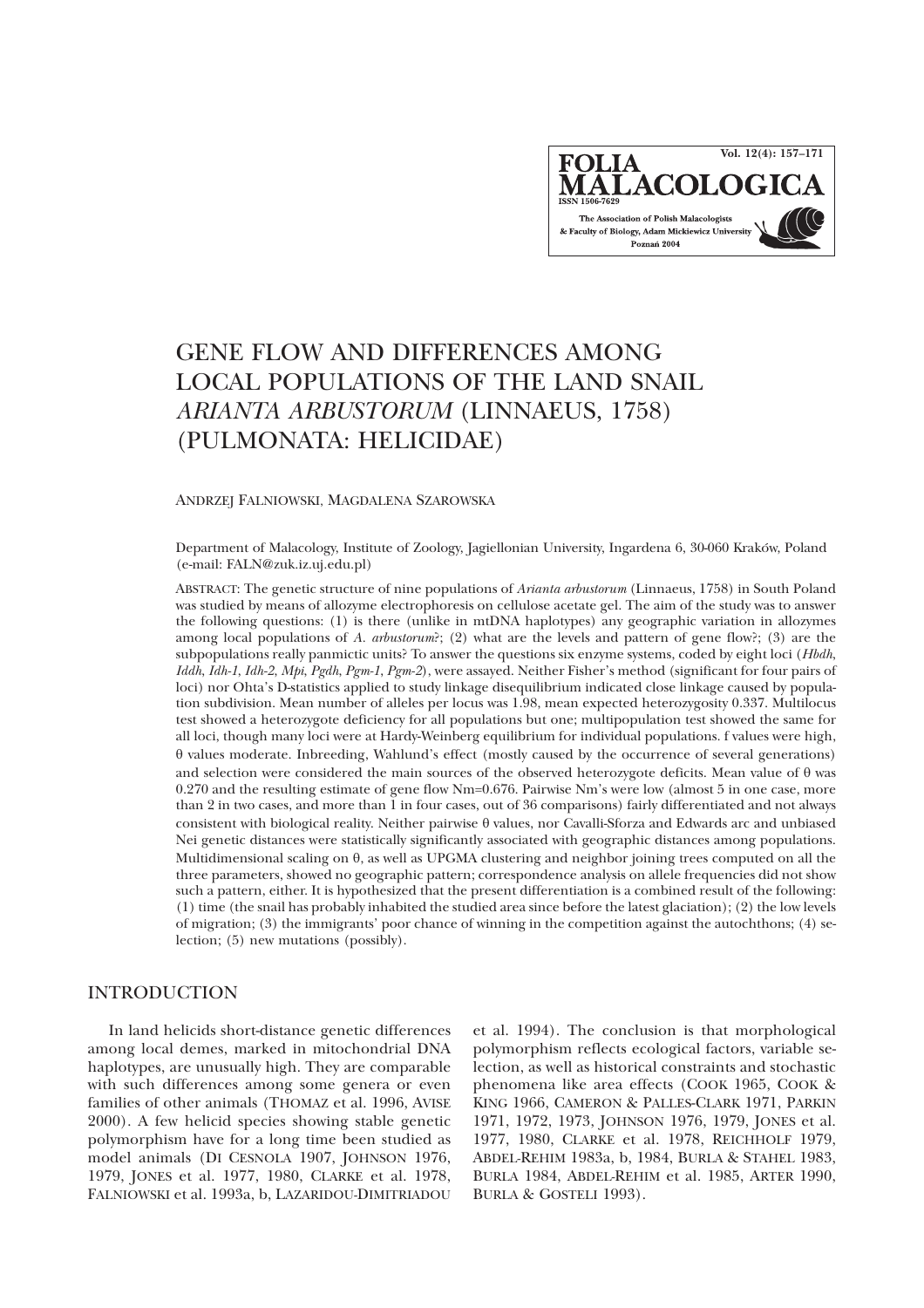**Vol. 12(4): 157–171FOLIA IALACOLOC** The Association of Polish Malacologists & Faculty of Biology, Adam Mickiewicz University Poznań 2004

# GENE FLOW AND DIFFERENCES AMONG LOCAL POPULATIONS OF THE LAND SNAIL *ARIANTA ARBUSTORUM* (LINNAEUS, 1758) (PULMONATA: HELICIDAE)

#### ANDRZEJ FALNIOWSKI, MAGDALENA SZAROWSKA

Department of Malacology, Institute of Zoology, Jagiellonian University, Ingardena 6, 30-060 Kraków, Poland (e-mail: FALN@zuk.iz.uj.edu.pl)

ABSTRACT: The genetic structure of nine populations of *Arianta arbustorum* (Linnaeus, 1758) in South Poland was studied by means of allozyme electrophoresis on cellulose acetate gel. The aim of the study was to answer the following questions: (1) is there (unlike in mtDNA haplotypes) any geographic variation in allozymes among local populations of *A. arbustorum*?; (2) what are the levels and pattern of gene flow?; (3) are the subpopulations really panmictic units? To answer the questions six enzyme systems, coded by eight loci (*Hbdh*, *Iddh*, *Idh-1*, *Idh-2*, *Mpi*, *Pgdh*, *Pgm-1*, *Pgm-2*), were assayed. Neither Fisher's method (significant for four pairs of loci) nor Ohta's D-statistics applied to study linkage disequilibrium indicated close linkage caused by population subdivision. Mean number of alleles per locus was 1.98, mean expected heterozygosity 0.337. Multilocus test showed a heterozygote deficiency for all populations but one; multipopulation test showed the same for all loci, though many loci were at Hardy-Weinberg equilibrium for individual populations. f values were high, values moderate. Inbreeding, Wahlund's effect (mostly caused by the occurrence of several generations) and selection were considered the main sources of the observed heterozygote deficits. Mean value of  $\theta$  was 0.270 and the resulting estimate of gene flow Nm=0.676. Pairwise Nm's were low (almost 5 in one case, more than 2 in two cases, and more than 1 in four cases, out of 36 comparisons) fairly differentiated and not always consistent with biological reality. Neither pairwise  $\theta$  values, nor Cavalli-Sforza and Edwards arc and unbiased Nei genetic distances were statistically significantly associated with geographic distances among populations. Multidimensional scaling on  $\theta$ , as well as UPGMA clustering and neighbor joining trees computed on all the three parameters, showed no geographic pattern; correspondence analysis on allele frequencies did not show such a pattern, either. It is hypothesized that the present differentiation is a combined result of the following: (1) time (the snail has probably inhabited the studied area since before the latest glaciation); (2) the low levels of migration; (3) the immigrants' poor chance of winning in the competition against the autochthons; (4) selection; (5) new mutations (possibly).

## INTRODUCTION

In land helicids short-distance genetic differences among local demes, marked in mitochondrial DNA haplotypes, are unusually high. They are comparable with such differences among some genera or even families of other animals (THOMAZ et al. 1996, AVISE 2000). A few helicid species showing stable genetic polymorphism have for a long time been studied as model animals (DI CESNOLA 1907, JOHNSON 1976, 1979, JONES et al. 1977, 1980, CLARKE et al. 1978, FALNIOWSKI et al. 1993a, b, LAZARIDOU-DIMITRIADOU

et al. 1994). The conclusion is that morphological polymorphism reflects ecological factors, variable selection, as well as historical constraints and stochastic phenomena like area effects (COOK 1965, COOK & KING 1966, CAMERON & PALLES-CLARK 1971, PARKIN 1971, 1972, 1973, JOHNSON 1976, 1979, JONES et al. 1977, 1980, CLARKE et al. 1978, REICHHOLF 1979, ABDEL-REHIM 1983a, b, 1984, BURLA & STAHEL 1983, BURLA 1984, ABDEL-REHIM et al. 1985, ARTER 1990, BURLA & GOSTELI 1993).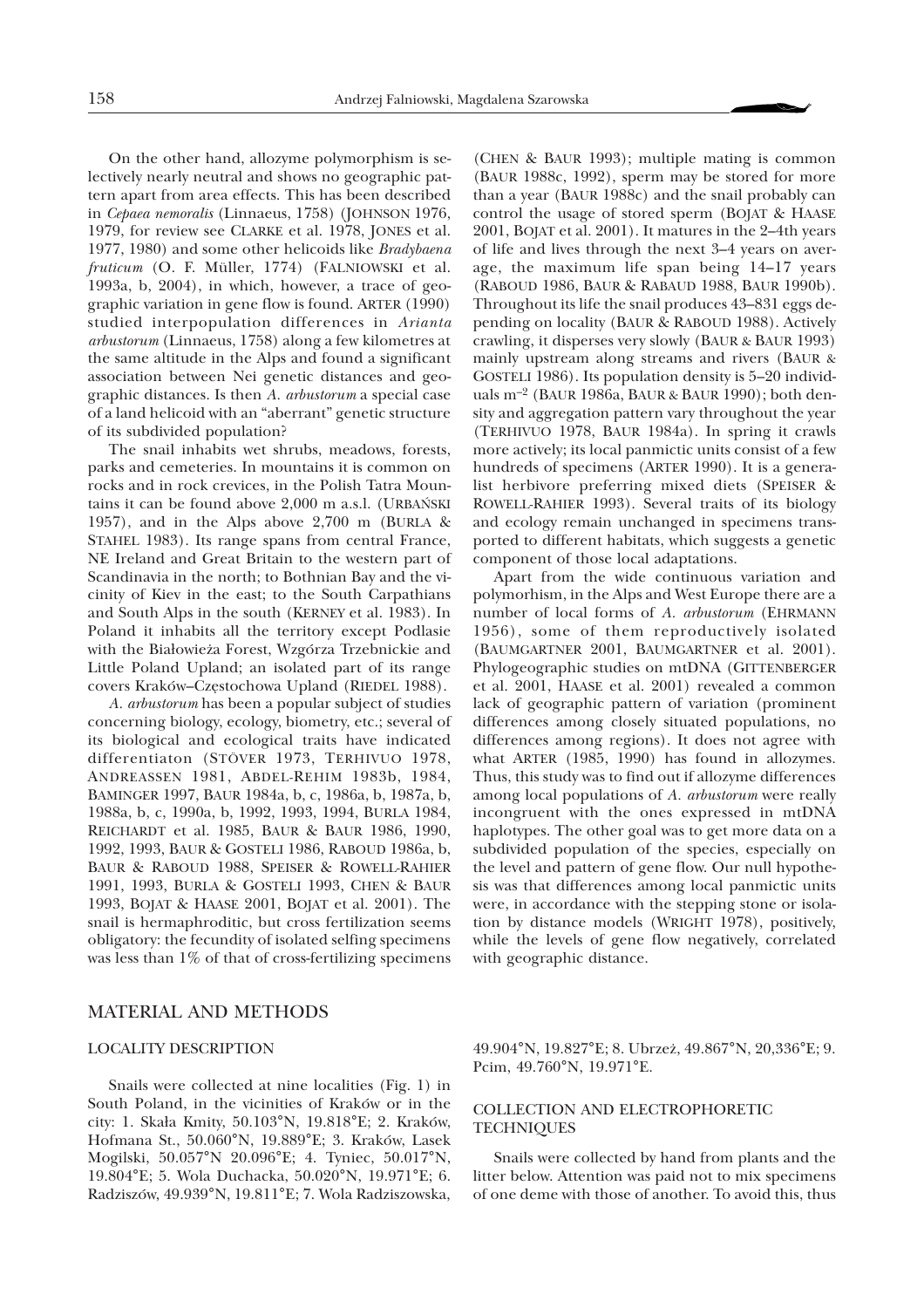On the other hand, allozyme polymorphism is selectively nearly neutral and shows no geographic pattern apart from area effects. This has been described in *Cepaea nemoralis* (Linnaeus, 1758) (JOHNSON 1976, 1979, for review see CLARKE et al. 1978, JONES et al. 1977, 1980) and some other helicoids like *Bradybaena fruticum* (O. F. Müller, 1774) (FALNIOWSKI et al. 1993a, b, 2004), in which, however, a trace of geographic variation in gene flow is found. ARTER (1990) studied interpopulation differences in *Arianta arbustorum* (Linnaeus, 1758) along a few kilometres at the same altitude in the Alps and found a significant association between Nei genetic distances and geographic distances. Is then *A. arbustorum* a special case of a land helicoid with an "aberrant" genetic structure of its subdivided population?

The snail inhabits wet shrubs, meadows, forests, parks and cemeteries. In mountains it is common on rocks and in rock crevices, in the Polish Tatra Mountains it can be found above 2,000 m a.s.l. (URBAÑSKI 1957), and in the Alps above 2,700 m (BURLA & STAHEL 1983). Its range spans from central France, NE Ireland and Great Britain to the western part of Scandinavia in the north; to Bothnian Bay and the vicinity of Kiev in the east; to the South Carpathians and South Alps in the south (KERNEY et al. 1983). In Poland it inhabits all the territory except Podlasie with the Białowieża Forest, Wzgórza Trzebnickie and Little Poland Upland; an isolated part of its range covers Kraków-Częstochowa Upland (RIEDEL 1988).

*A. arbustorum* has been a popular subject of studies concerning biology, ecology, biometry, etc.; several of its biological and ecological traits have indicated differentiaton (STÖVER 1973, TERHIVUO 1978, ANDREASSEN 1981, ABDEL-REHIM 1983b, 1984, BAMINGER 1997, BAUR 1984a, b, c, 1986a, b, 1987a, b, 1988a, b, c, 1990a, b, 1992, 1993, 1994, BURLA 1984, REICHARDT et al. 1985, BAUR & BAUR 1986, 1990, 1992, 1993, BAUR & GOSTELI 1986, RABOUD 1986a, b, BAUR & RABOUD 1988, SPEISER & ROWELL-RAHIER 1991, 1993, BURLA & GOSTELI 1993, CHEN & BAUR 1993, BOJAT & HAASE 2001, BOJAT et al. 2001). The snail is hermaphroditic, but cross fertilization seems obligatory: the fecundity of isolated selfing specimens was less than 1% of that of cross-fertilizing specimens

### MATERIAL AND METHODS

#### LOCALITY DESCRIPTION

Snails were collected at nine localities (Fig. 1) in South Poland, in the vicinities of Kraków or in the city: 1. Ska³a Kmity, 50.103°N, 19.818°E; 2. Kraków, Hofmana St., 50.060°N, 19.889°E; 3. Kraków, Lasek Mogilski, 50.057°N 20.096°E; 4. Tyniec, 50.017°N, 19.804°E; 5. Wola Duchacka, 50.020°N, 19.971°E; 6. Radziszów, 49.939°N, 19.811°E; 7. Wola Radziszowska,

(CHEN & BAUR 1993); multiple mating is common (BAUR 1988c, 1992), sperm may be stored for more than a year (BAUR 1988c) and the snail probably can control the usage of stored sperm (BOJAT & HAASE 2001, BOJAT et al. 2001). It matures in the 2–4th years of life and lives through the next 3–4 years on average, the maximum life span being 14–17 years (RABOUD 1986, BAUR & RABAUD 1988, BAUR 1990b). Throughout its life the snail produces 43–831 eggs depending on locality (BAUR & RABOUD 1988). Actively crawling, it disperses very slowly (BAUR & BAUR 1993) mainly upstream along streams and rivers (BAUR & GOSTELI 1986). Its population density is 5–20 individuals m–2 (BAUR 1986a, BAUR & BAUR 1990); both density and aggregation pattern vary throughout the year (TERHIVUO 1978, BAUR 1984a). In spring it crawls more actively; its local panmictic units consist of a few hundreds of specimens (ARTER 1990). It is a generalist herbivore preferring mixed diets (SPEISER & ROWELL-RAHIER 1993). Several traits of its biology and ecology remain unchanged in specimens transported to different habitats, which suggests a genetic component of those local adaptations.

Apart from the wide continuous variation and polymorhism, in the Alps and West Europe there are a number of local forms of *A. arbustorum* (EHRMANN 1956), some of them reproductively isolated (BAUMGARTNER 2001, BAUMGARTNER et al. 2001). Phylogeographic studies on mtDNA (GITTENBERGER et al. 2001, HAASE et al. 2001) revealed a common lack of geographic pattern of variation (prominent differences among closely situated populations, no differences among regions). It does not agree with what ARTER (1985, 1990) has found in allozymes. Thus, this study was to find out if allozyme differences among local populations of *A. arbustorum* were really incongruent with the ones expressed in mtDNA haplotypes. The other goal was to get more data on a subdivided population of the species, especially on the level and pattern of gene flow. Our null hypothesis was that differences among local panmictic units were, in accordance with the stepping stone or isolation by distance models (WRIGHT 1978), positively, while the levels of gene flow negatively, correlated with geographic distance.

49.904°N, 19.827°E; 8. Ubrze¿, 49.867°N, 20,336°E; 9. Pcim, 49.760°N, 19.971°E.

## COLLECTION AND ELECTROPHORETIC **TECHNIQUES**

Snails were collected by hand from plants and the litter below. Attention was paid not to mix specimens of one deme with those of another. To avoid this, thus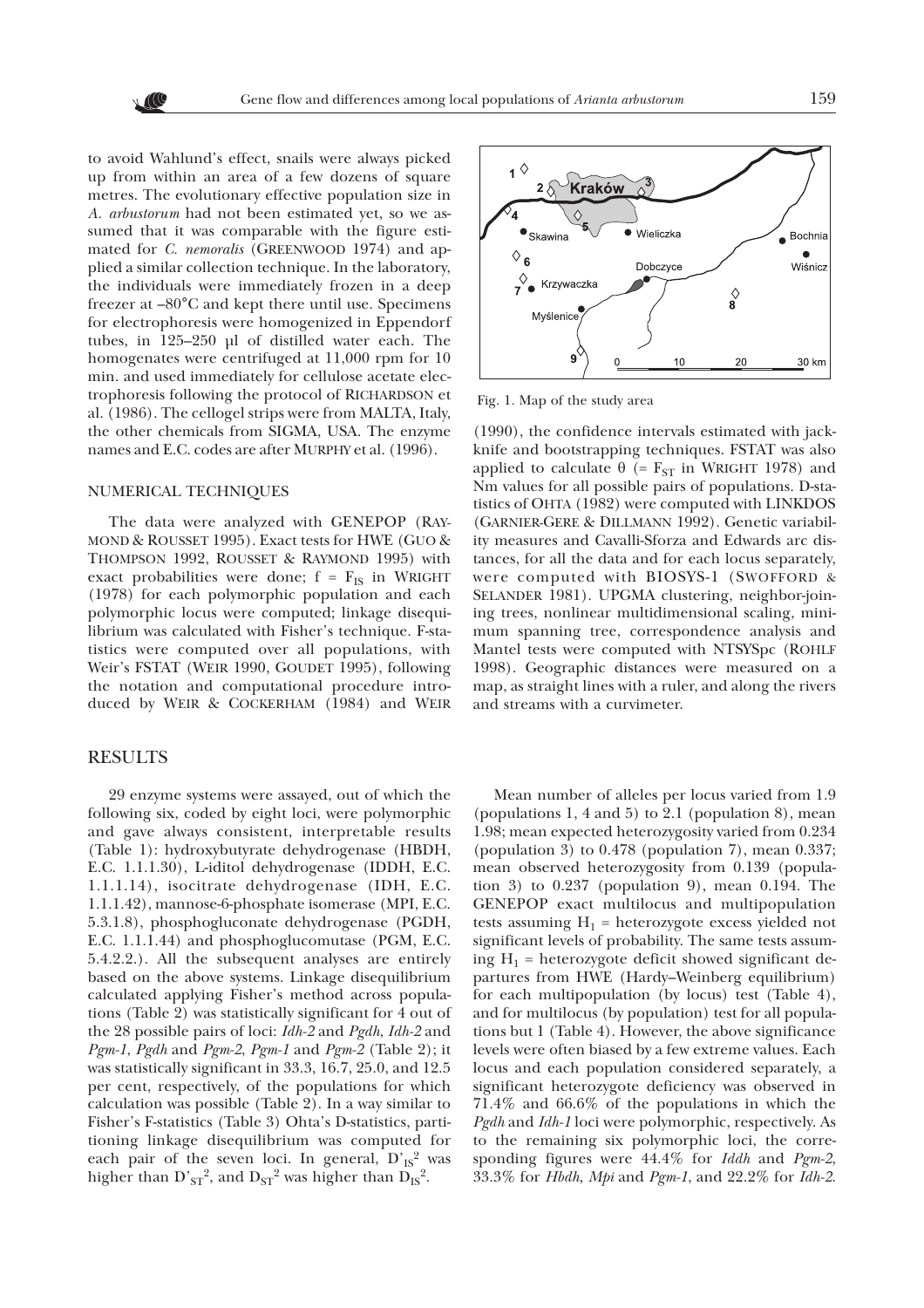to avoid Wahlund's effect, snails were always picked up from within an area of a few dozens of square metres. The evolutionary effective population size in *A. arbustorum* had not been estimated yet, so we assumed that it was comparable with the figure estimated for *C. nemoralis* (GREENWOOD 1974) and applied a similar collection technique. In the laboratory, the individuals were immediately frozen in a deep freezer at –80°C and kept there until use. Specimens for electrophoresis were homogenized in Eppendorf tubes, in 125–250 µl of distilled water each. The homogenates were centrifuged at 11,000 rpm for 10 min. and used immediately for cellulose acetate electrophoresis following the protocol of RICHARDSON et al. (1986). The cellogel strips were from MALTA, Italy, the other chemicals from SIGMA, USA. The enzyme names and E.C. codes are after MURPHY et al. (1996).

#### NUMERICAL TECHNIQUES

The data were analyzed with GENEPOP (RAY-MOND & ROUSSET 1995). Exact tests for HWE (GUO & THOMPSON 1992, ROUSSET & RAYMOND 1995) with exact probabilities were done;  $f = F_{IS}$  in WRIGHT (1978) for each polymorphic population and each polymorphic locus were computed; linkage disequilibrium was calculated with Fisher's technique. F-statistics were computed over all populations, with Weir's FSTAT (WEIR 1990, GOUDET 1995), following the notation and computational procedure introduced by WEIR & COCKERHAM (1984) and WEIR

## RESULTS

29 enzyme systems were assayed, out of which the following six, coded by eight loci, were polymorphic and gave always consistent, interpretable results (Table 1): hydroxybutyrate dehydrogenase (HBDH, E.C. 1.1.1.30), L-iditol dehydrogenase (IDDH, E.C. 1.1.1.14), isocitrate dehydrogenase (IDH, E.C. 1.1.1.42), mannose-6-phosphate isomerase (MPI, E.C. 5.3.1.8), phosphogluconate dehydrogenase (PGDH, E.C. 1.1.1.44) and phosphoglucomutase (PGM, E.C. 5.4.2.2.). All the subsequent analyses are entirely based on the above systems. Linkage disequilibrium calculated applying Fisher's method across populations (Table 2) was statistically significant for 4 out of the 28 possible pairs of loci: *Idh-2* and *Pgdh*, *Idh-2* and *Pgm-1*, *Pgdh* and *Pgm-2*, *Pgm-1* and *Pgm-2* (Table 2); it was statistically significant in 33.3, 16.7, 25.0, and 12.5 per cent, respectively, of the populations for which calculation was possible (Table 2). In a way similar to Fisher's F-statistics (Table 3) Ohta's D-statistics, partitioning linkage disequilibrium was computed for each pair of the seven loci. In general,  $D'_{IS}^2$  was higher than  $D'_{ST}^2$ , and  $D_{ST}^2$  was higher than  $D_{IS}^2$ .



Fig. 1. Map of the study area

(1990), the confidence intervals estimated with jackknife and bootstrapping techniques. FSTAT was also applied to calculate  $\theta$  (= F<sub>ST</sub> in WRIGHT 1978) and Nm values for all possible pairs of populations. D-statistics of OHTA (1982) were computed with LINKDOS (GARNIER-GERE & DILLMANN 1992). Genetic variability measures and Cavalli-Sforza and Edwards arc distances, for all the data and for each locus separately, were computed with BIOSYS-1 (SWOFFORD & SELANDER 1981). UPGMA clustering, neighbor-joining trees, nonlinear multidimensional scaling, minimum spanning tree, correspondence analysis and Mantel tests were computed with NTSYSpc (ROHLF 1998). Geographic distances were measured on a map, as straight lines with a ruler, and along the rivers and streams with a curvimeter.

Mean number of alleles per locus varied from 1.9 (populations 1, 4 and 5) to 2.1 (population 8), mean 1.98; mean expected heterozygosity varied from 0.234 (population 3) to 0.478 (population 7), mean 0.337; mean observed heterozygosity from 0.139 (population 3) to 0.237 (population 9), mean 0.194. The GENEPOP exact multilocus and multipopulation tests assuming  $H_1$  = heterozygote excess yielded not significant levels of probability. The same tests assuming  $H_1$  = heterozygote deficit showed significant departures from HWE (Hardy–Weinberg equilibrium) for each multipopulation (by locus) test (Table 4), and for multilocus (by population) test for all populations but 1 (Table 4). However, the above significance levels were often biased by a few extreme values. Each locus and each population considered separately, a significant heterozygote deficiency was observed in 71.4% and 66.6% of the populations in which the *Pgdh* and *Idh-1* loci were polymorphic, respectively. As to the remaining six polymorphic loci, the corresponding figures were 44.4% for *Iddh* and *Pgm-2*, 33.3% for *Hbdh*, *Mpi* and *Pgm-1*, and 22.2% for *Idh-2*.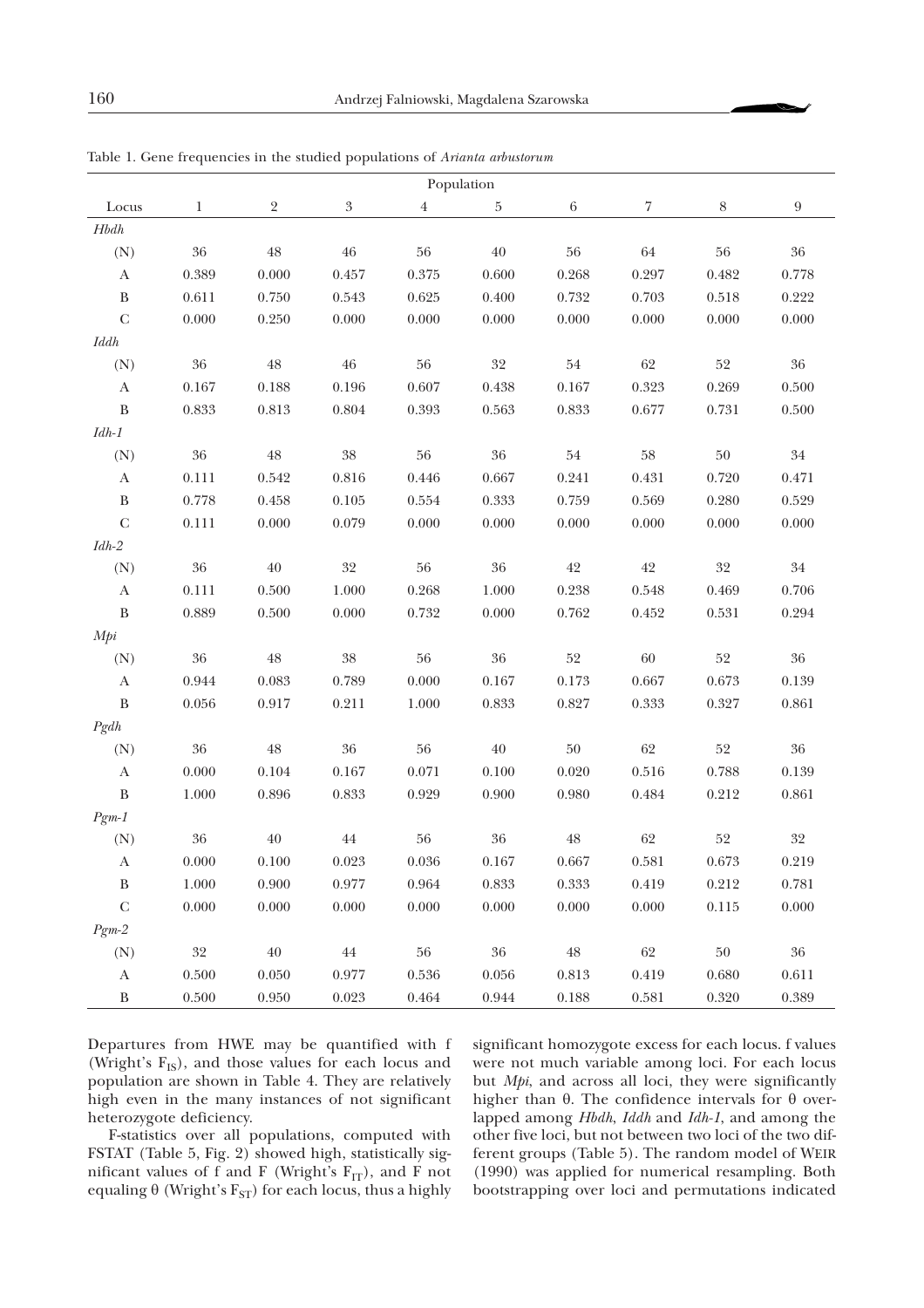| Population             |             |             |                           |           |        |           |        |        |                  |  |  |
|------------------------|-------------|-------------|---------------------------|-----------|--------|-----------|--------|--------|------------------|--|--|
| $\operatorname{Locus}$ | $\mathbf 1$ | $\sqrt{2}$  | $\boldsymbol{\mathrm{3}}$ | $\,4$     | 5      | $\,6\,$   | 7      | 8      | $\boldsymbol{9}$ |  |  |
| $H b d h$              |             |             |                           |           |        |           |        |        |                  |  |  |
| (N)                    | 36          | $\rm 48$    | $\sqrt{46}$               | $56\,$    | $40\,$ | 56        | $64\,$ | 56     | $36\,$           |  |  |
| $\mathbf{A}$           | 0.389       | 0.000       | 0.457                     | 0.375     | 0.600  | 0.268     | 0.297  | 0.482  | 0.778            |  |  |
| $\, {\bf B}$           | 0.611       | 0.750       | 0.543                     | 0.625     | 0.400  | 0.732     | 0.703  | 0.518  | 0.222            |  |  |
| ${\bf C}$              | 0.000       | 0.250       | 0.000                     | 0.000     | 0.000  | 0.000     | 0.000  | 0.000  | 0.000            |  |  |
| <b>Iddh</b>            |             |             |                           |           |        |           |        |        |                  |  |  |
| (N)                    | $36\,$      | $48\,$      | $\sqrt{46}$               | $56\,$    | $32\,$ | $54\,$    | 62     | 52     | $36\,$           |  |  |
| A                      | 0.167       | 0.188       | 0.196                     | 0.607     | 0.438  | 0.167     | 0.323  | 0.269  | 0.500            |  |  |
| $\, {\bf B}$           | 0.833       | 0.813       | 0.804                     | 0.393     | 0.563  | $0.833\,$ | 0.677  | 0.731  | 0.500            |  |  |
| $Idh\text{-}1$         |             |             |                           |           |        |           |        |        |                  |  |  |
| (N)                    | $36\,$      | 48          | $38\,$                    | $56\,$    | 36     | 54        | $58\,$ | $50\,$ | 34               |  |  |
| A                      | 0.111       | 0.542       | 0.816                     | 0.446     | 0.667  | 0.241     | 0.431  | 0.720  | 0.471            |  |  |
| $\, {\bf B}$           | 0.778       | 0.458       | 0.105                     | 0.554     | 0.333  | 0.759     | 0.569  | 0.280  | 0.529            |  |  |
| $\mathsf{C}$           | 0.111       | 0.000       | 0.079                     | 0.000     | 0.000  | 0.000     | 0.000  | 0.000  | 0.000            |  |  |
| $Idh\text{-}2$         |             |             |                           |           |        |           |        |        |                  |  |  |
| (N)                    | 36          | 40          | $32\,$                    | $56\,$    | $36\,$ | $42\,$    | $42\,$ | 32     | $34\,$           |  |  |
| $\mathbf{A}$           | 0.111       | 0.500       | 1.000                     | 0.268     | 1.000  | 0.238     | 0.548  | 0.469  | 0.706            |  |  |
| $\, {\bf B}$           | 0.889       | 0.500       | 0.000                     | 0.732     | 0.000  | 0.762     | 0.452  | 0.531  | 0.294            |  |  |
| Mpi                    |             |             |                           |           |        |           |        |        |                  |  |  |
| (N)                    | $36\,$      | $48\,$      | $38\,$                    | $56\,$    | $36\,$ | $52\,$    | $60\,$ | $52\,$ | $36\,$           |  |  |
| A                      | $\!.944\!$  | $\,0.083\,$ | 0.789                     | 0.000     | 0.167  | 0.173     | 0.667  | 0.673  | 0.139            |  |  |
| $\, {\bf B}$           | 0.056       | $0.917\,$   | 0.211                     | 1.000     | 0.833  | 0.827     | 0.333  | 0.327  | 0.861            |  |  |
| $P\,gh$                |             |             |                           |           |        |           |        |        |                  |  |  |
| (N)                    | 36          | $48\,$      | $36\,$                    | $56\,$    | $40\,$ | $50\,$    | 62     | $52\,$ | $36\,$           |  |  |
| $\mathbf{A}$           | 0.000       | 0.104       | 0.167                     | 0.071     | 0.100  | 0.020     | 0.516  | 0.788  | 0.139            |  |  |
| $\, {\bf B}$           | 1.000       | 0.896       | 0.833                     | 0.929     | 0.900  | 0.980     | 0.484  | 0.212  | 0.861            |  |  |
| $Pgm-1$                |             |             |                           |           |        |           |        |        |                  |  |  |
| (N)                    | $36\,$      | $40\,$      | $\sqrt{44}$               | $56\,$    | $36\,$ | $48\,$    | 62     | 52     | $32\,$           |  |  |
| A                      | $0.000\,$   | 0.100       | 0.023                     | $0.036\,$ | 0.167  | 0.667     | 0.581  | 0.673  | 0.219            |  |  |
| B                      | 1.000       | 0.900       | 0.977                     | 0.964     | 0.833  | 0.333     | 0.419  | 0.212  | 0.781            |  |  |
| ${\bf C}$              | 0.000       | 0.000       | 0.000                     | $0.000\,$ | 0.000  | 0.000     | 0.000  | 0.115  | $0.000\,$        |  |  |
| $Pgm-2$                |             |             |                           |           |        |           |        |        |                  |  |  |
| (N)                    | 32          | $40\,$      | 44                        | 56        | 36     | 48        | 62     | $50\,$ | 36               |  |  |
| $\mathbf{A}$           | 0.500       | $0.050\,$   | 0.977                     | 0.536     | 0.056  | 0.813     | 0.419  | 0.680  | 0.611            |  |  |
| $\, {\bf B}$           | $0.500\,$   | 0.950       | 0.023                     | 0.464     | 0.944  | 0.188     | 0.581  | 0.320  | 0.389            |  |  |

Table 1. Gene frequencies in the studied populations of *Arianta arbustorum*

Departures from HWE may be quantified with f (Wright's  $F_{IS}$ ), and those values for each locus and population are shown in Table 4. They are relatively high even in the many instances of not significant heterozygote deficiency.

F-statistics over all populations, computed with FSTAT (Table 5, Fig. 2) showed high, statistically significant values of f and F (Wright's  $F_{IT}$ ), and F not equaling  $\theta$  (Wright's  $F_{ST}$ ) for each locus, thus a highly significant homozygote excess for each locus. f values were not much variable among loci. For each locus but *Mpi*, and across all loci, they were significantly higher than  $\theta$ . The confidence intervals for  $\theta$  overlapped among *Hbdh*, *Iddh* and *Idh-1*, and among the other five loci, but not between two loci of the two different groups (Table 5). The random model of WEIR (1990) was applied for numerical resampling. Both bootstrapping over loci and permutations indicated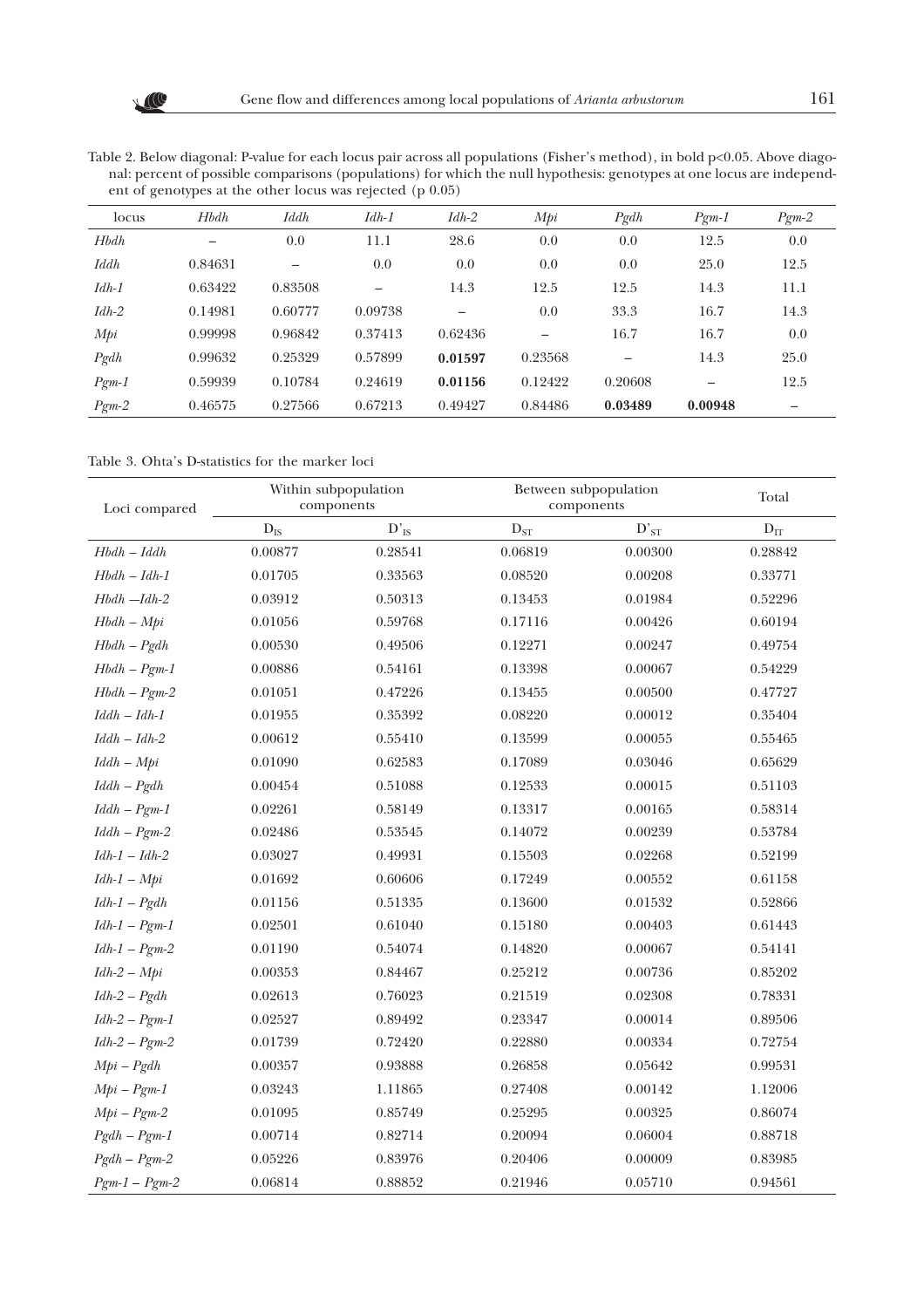Table 2. Below diagonal: P-value for each locus pair across all populations (Fisher's method), in bold p<0.05. Above diagonal: percent of possible comparisons (populations) for which the null hypothesis: genotypes at one locus are independent of genotypes at the other locus was rejected (p 0.05)

| locus       | <b>Hbdh</b> | Iddh                     | $Idh-1$ | $Idh-2$ | Mpi     | $P\text{g}dh$ | $P_{\mathcal{Q}}m-1$ | $Pgm-2$ |
|-------------|-------------|--------------------------|---------|---------|---------|---------------|----------------------|---------|
| <b>Hbdh</b> | —           | 0.0                      | 11.1    | 28.6    | 0.0     | 0.0           | 12.5                 | 0.0     |
| <b>Iddh</b> | 0.84631     | $\overline{\phantom{0}}$ | 0.0     | 0.0     | 0.0     | 0.0           | 25.0                 | 12.5    |
| $Idh-1$     | 0.63422     | 0.83508                  |         | 14.3    | 12.5    | 12.5          | 14.3                 | 11.1    |
| $Idh-2$     | 0.14981     | 0.60777                  | 0.09738 |         | 0.0     | 33.3          | 16.7                 | 14.3    |
| Mpi         | 0.99998     | 0.96842                  | 0.37413 | 0.62436 |         | 16.7          | 16.7                 | 0.0     |
| $P\,gh$     | 0.99632     | 0.25329                  | 0.57899 | 0.01597 | 0.23568 |               | 14.3                 | 25.0    |
| $Pgm-1$     | 0.59939     | 0.10784                  | 0.24619 | 0.01156 | 0.12422 | 0.20608       |                      | 12.5    |
| $Pgm-2$     | 0.46575     | 0.27566                  | 0.67213 | 0.49427 | 0.84486 | 0.03489       | 0.00948              |         |

Table 3. Ohta's D-statistics for the marker loci

| Loci compared  |                          | Within subpopulation<br>components | Between subpopulation<br>components | Total     |                          |
|----------------|--------------------------|------------------------------------|-------------------------------------|-----------|--------------------------|
|                | $\mathbf{D}_{\text{IS}}$ | $D_{IS}$                           | $\mathbf{D}_{ST}$                   | $D'_{ST}$ | $\mathbf{D}_{\text{IT}}$ |
| $Hbdh - Iddh$  | 0.00877                  | 0.28541                            | 0.06819                             | 0.00300   | 0.28842                  |
| $Hbdh - Idh-1$ | 0.01705                  | 0.33563                            | 0.08520                             | 0.00208   | 0.33771                  |
| $Hbdh - Idh-2$ | 0.03912                  | 0.50313                            | 0.13453                             | 0.01984   | 0.52296                  |
| $Hbdh - Mpi$   | 0.01056                  | 0.59768                            | 0.17116                             | 0.00426   | 0.60194                  |
| $Hbdh - Pgdh$  | 0.00530                  | 0.49506                            | 0.12271                             | 0.00247   | 0.49754                  |
| $Hbdh - Pgm-1$ | 0.00886                  | 0.54161                            | 0.13398                             | 0.00067   | 0.54229                  |
| $Hbdh - Pgm-2$ | 0.01051                  | 0.47226                            | 0.13455                             | 0.00500   | 0.47727                  |
| $Iddh - Idh-1$ | 0.01955                  | 0.35392                            | 0.08220                             | 0.00012   | 0.35404                  |
| $Iddh - Idh-2$ | 0.00612                  | 0.55410                            | 0.13599                             | 0.00055   | 0.55465                  |
| $Iddh - Mpi$   | 0.01090                  | 0.62583                            | 0.17089                             | 0.03046   | 0.65629                  |
| $Iddh - Pgdh$  | 0.00454                  | 0.51088                            | 0.12533                             | 0.00015   | 0.51103                  |
| $Iddh - Pgm-1$ | 0.02261                  | 0.58149                            | 0.13317                             | 0.00165   | 0.58314                  |
| $Iddh - Pgm-2$ | 0.02486                  | 0.53545                            | 0.14072                             | 0.00239   | 0.53784                  |
| $Idh-1-Idh-2$  | 0.03027                  | 0.49931                            | 0.15503                             | 0.02268   | 0.52199                  |
| $Idh-1-Mpi$    | 0.01692                  | 0.60606                            | 0.17249                             | 0.00552   | 0.61158                  |
| $Idh-1-Pgdh$   | 0.01156                  | 0.51335                            | 0.13600                             | 0.01532   | 0.52866                  |
| $Idh-1-Pgm-1$  | 0.02501                  | 0.61040                            | 0.15180                             | 0.00403   | 0.61443                  |
| $Idh-1-Pgm-2$  | 0.01190                  | 0.54074                            | 0.14820                             | 0.00067   | 0.54141                  |
| $Idh-2-Mpi$    | 0.00353                  | 0.84467                            | 0.25212                             | 0.00736   | 0.85202                  |
| $Idh-2-Pgdh$   | 0.02613                  | 0.76023                            | 0.21519                             | 0.02308   | 0.78331                  |
| $Idh-2-Pgm-1$  | 0.02527                  | 0.89492                            | 0.23347                             | 0.00014   | 0.89506                  |
| $Idh-2-Pgm-2$  | 0.01739                  | 0.72420                            | 0.22880                             | 0.00334   | 0.72754                  |
| $Mpi-Pgdh$     | 0.00357                  | 0.93888                            | 0.26858                             | 0.05642   | 0.99531                  |
| $Mpi-Pgm-1$    | 0.03243                  | 1.11865                            | 0.27408                             | 0.00142   | 1.12006                  |
| $Mpi-Pgm-2$    | 0.01095                  | 0.85749                            | 0.25295                             | 0.00325   | 0.86074                  |
| $Pgdh - Pgm-1$ | 0.00714                  | 0.82714                            | 0.20094                             | 0.06004   | 0.88718                  |
| $Pgdh - Pgm-2$ | 0.05226                  | 0.83976                            | 0.20406                             | 0.00009   | 0.83985                  |
| $Pgm-1-Pgm-2$  | 0.06814                  | 0.88852                            | 0.21946                             | 0.05710   | 0.94561                  |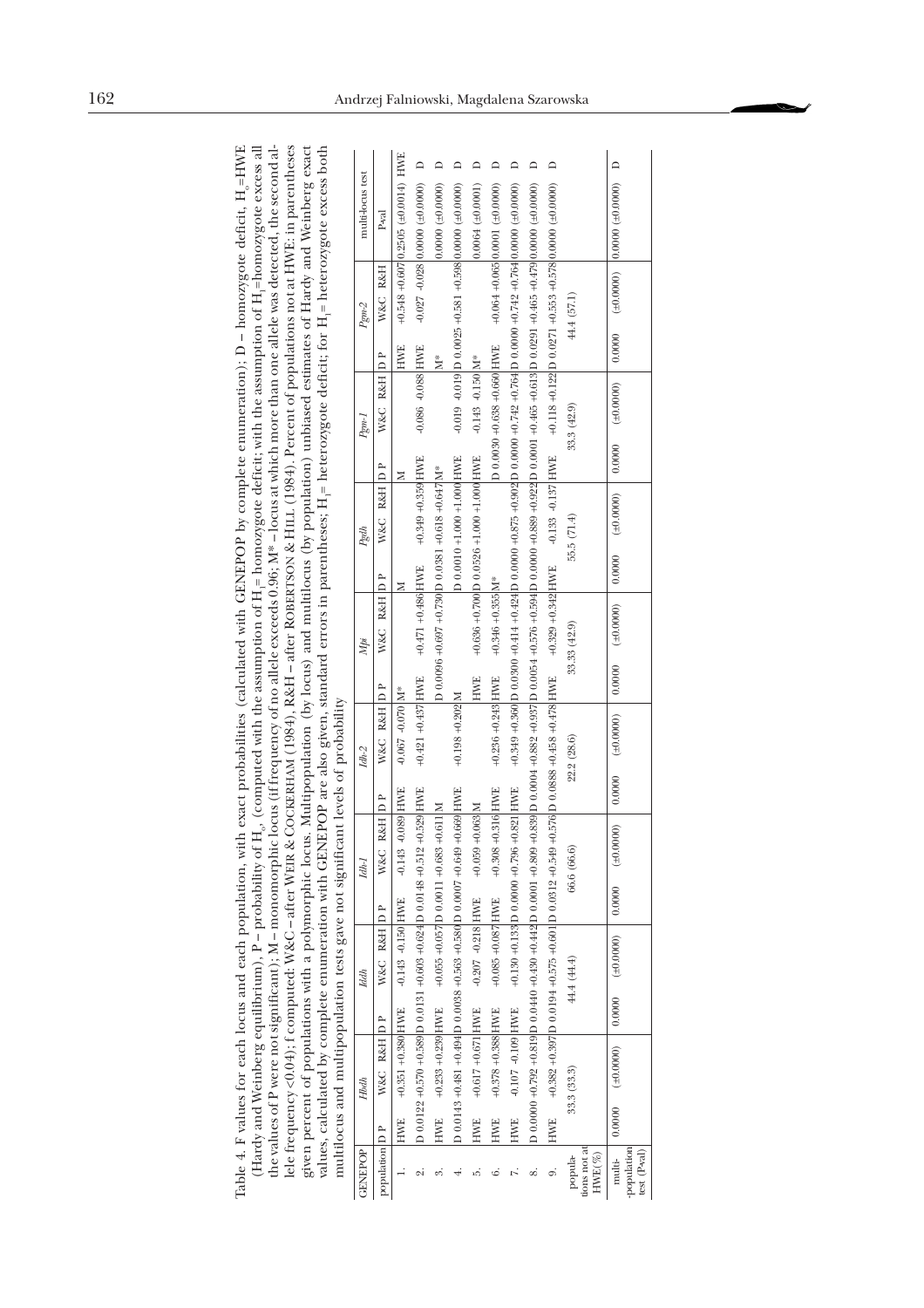| the values of P were not significant); M – monomorphic locus (if frequency of no allele exceeds 0.96; M* – locus at which more than one allele was detected, the second al-<br>lele frequency <0.04); f computed: W&C – after WEIR & COCKERHAM (1984), R&H – after ROBERTSON & HILL (1984). Percent of populations not at HWE: in parentheses<br>given percent of populations with a polymorphic locus. Multipopulation (by locus) and multilocus (by population) unbiased estimates of Hardy and Weinberg exact<br>values, calculated by complete enumeration with GENEPOP are also given, standard errors in parentheses; H <sub>1</sub> = heterozygote deficit; for H <sub>1</sub> = heterozygote excess both | multi-locus test | P-val          | $+0.548 +0.607$ 0.2505 ( $\pm$ 0.0014) HWE | $\Box$                                                        | ≏<br>$0.0000 (+0.0000)$                          | ≏                                                                                         | $0.0064 (\pm 0.0001)$                    |                                  | ≏                             |   | ≏                                                                |                                      | $\Box$                                |
|------------------------------------------------------------------------------------------------------------------------------------------------------------------------------------------------------------------------------------------------------------------------------------------------------------------------------------------------------------------------------------------------------------------------------------------------------------------------------------------------------------------------------------------------------------------------------------------------------------------------------------------------------------------------------------------------------------------|------------------|----------------|--------------------------------------------|---------------------------------------------------------------|--------------------------------------------------|-------------------------------------------------------------------------------------------|------------------------------------------|----------------------------------|-------------------------------|---|------------------------------------------------------------------|--------------------------------------|---------------------------------------|
|                                                                                                                                                                                                                                                                                                                                                                                                                                                                                                                                                                                                                                                                                                                  |                  |                |                                            | $-0.027 - 0.028$ 0.0000 (±0.0000)                             |                                                  |                                                                                           |                                          | $+0.064 +0.065$ 0.0001 (±0.0000) |                               |   |                                                                  |                                      |                                       |
|                                                                                                                                                                                                                                                                                                                                                                                                                                                                                                                                                                                                                                                                                                                  | $Pgm-2$          | W&C R&H        |                                            |                                                               |                                                  | $-0.019$ $-0.019$ $\overline{D}$ $0.0025 + 0.581 + 0.598$ $\overline{0.0000}$ $(±0.0000)$ |                                          |                                  |                               |   | $+0.118 +0.122$ $D \t0.0271 +0.553 +0.578$ $(0.0000 \pm 0.0000)$ | 44.4 (57.1)                          |                                       |
|                                                                                                                                                                                                                                                                                                                                                                                                                                                                                                                                                                                                                                                                                                                  |                  |                | <b>HWE</b>                                 |                                                               | Ž,                                               |                                                                                           |                                          |                                  |                               |   |                                                                  |                                      | 0.0000                                |
|                                                                                                                                                                                                                                                                                                                                                                                                                                                                                                                                                                                                                                                                                                                  | Pgml             | W&C R&H DP     |                                            | $-0.086 - 0.088$ HWE                                          |                                                  |                                                                                           | $-0.143 - 0.150$ M <sup>*</sup>          | D 0.0030 +0.638 +0.660 HWE       |                               |   |                                                                  | 33.3 (42.9)                          | (40.0000)                             |
|                                                                                                                                                                                                                                                                                                                                                                                                                                                                                                                                                                                                                                                                                                                  |                  |                | z                                          |                                                               |                                                  |                                                                                           |                                          |                                  |                               |   |                                                                  |                                      | 0.0000                                |
|                                                                                                                                                                                                                                                                                                                                                                                                                                                                                                                                                                                                                                                                                                                  |                  | W&C R&H D P    |                                            | $+0.349 +0.359$ HWE                                           |                                                  | D 0.0010 +1.000 +1.000 HWE                                                                |                                          |                                  |                               |   | $-0.133 - 0.137$ HWE                                             |                                      | (0.0000)                              |
|                                                                                                                                                                                                                                                                                                                                                                                                                                                                                                                                                                                                                                                                                                                  | Pgdh             |                | ⋝                                          |                                                               |                                                  |                                                                                           |                                          |                                  |                               |   |                                                                  | 55.5 (71.4)                          | 0.0000                                |
|                                                                                                                                                                                                                                                                                                                                                                                                                                                                                                                                                                                                                                                                                                                  |                  | W&C R&H D P    |                                            | $+0.471 + 0.486$ HWE                                          | D 0.0096 +0.697 +0.730 D 0.0381 +0.618 +0.647 M* |                                                                                           | +0.636 +0.700 D 0.0526 +1.000 +1.000 HWE | $+0.346 + 0.355$ M <sup>*</sup>  |                               |   | $+0.329 + 0.342$ HWE                                             |                                      | (100000)                              |
|                                                                                                                                                                                                                                                                                                                                                                                                                                                                                                                                                                                                                                                                                                                  | Mpi              |                |                                            |                                                               |                                                  |                                                                                           | <b>HWE</b>                               |                                  |                               |   |                                                                  | 33.33 (42.9)                         | 0.0000                                |
|                                                                                                                                                                                                                                                                                                                                                                                                                                                                                                                                                                                                                                                                                                                  |                  | W&C R&H DP     | $-0.067 - 0.070$ M <sup>*</sup>            | $+0.421 + 0.437$ HWE                                          |                                                  | $+0.198 + 0.202$ M                                                                        |                                          | $+0.236 + 0.243$ HWE             |                               |   | +0.576 D 0.0888 +0.458 +0.478 HWE                                |                                      | (10000)                               |
|                                                                                                                                                                                                                                                                                                                                                                                                                                                                                                                                                                                                                                                                                                                  | Idh-2            |                |                                            |                                                               |                                                  |                                                                                           |                                          |                                  |                               |   |                                                                  | 22.2 (28.6)                          | 0.0000                                |
|                                                                                                                                                                                                                                                                                                                                                                                                                                                                                                                                                                                                                                                                                                                  |                  | R&H D P        | $-0.089$ HWE                               | $+0.529$ HWE                                                  | $+0.611M$                                        | $+0.669$ HWE                                                                              | $+0.059 + 0.063$ M                       | $+0.316$ HWE                     | $+0.821$ HWE                  |   |                                                                  |                                      | $(\pm 0.0000)$                        |
|                                                                                                                                                                                                                                                                                                                                                                                                                                                                                                                                                                                                                                                                                                                  | Idh-1            | <b>W&amp;C</b> | $-0.143$                                   |                                                               |                                                  |                                                                                           |                                          | $+0.308$                         |                               |   |                                                                  | 66.6 (66.6)                          | 0.0000                                |
|                                                                                                                                                                                                                                                                                                                                                                                                                                                                                                                                                                                                                                                                                                                  |                  | W&C R&H D P    | -0.143 -0.150 HWE                          |                                                               | $+0.055 + 0.057$ D 0.0011 +0.683                 |                                                                                           | $-0.207 - 0.218$ HWE                     | $+0.085 +0.087$ HWE              | +0.130 +0.133 D 0.0000 +0.796 |   |                                                                  |                                      | (0.0000)                              |
|                                                                                                                                                                                                                                                                                                                                                                                                                                                                                                                                                                                                                                                                                                                  | <b>Iddh</b>      |                |                                            |                                                               |                                                  |                                                                                           |                                          |                                  |                               |   |                                                                  | 44.4 (44.4)                          | 0.0000                                |
| multilocus and multipopulation tests gave not significant levels of probability                                                                                                                                                                                                                                                                                                                                                                                                                                                                                                                                                                                                                                  |                  | W&C R&H D P    | $+0.351 + 0.380$ HWE                       | D 0.0122 +0.570 +0.589 D 0.0131 +0.603 +0.624 D 0.0148 +0.512 | $+0.233 + 0.239$ HWE                             | D 0.0143 +0.481 +0.494 D 0.0038 +0.563 +0.580 D 0.0007 +0.649                             | $+0.617 + 0.671$ HWE                     | $+0.378 + 0.388$ HWE             | -0.107 -0.109 HWE             |   | $+0.382 + 0.397$ D 0.0194 $+0.575 + 0.601$ D 0.0312 $+0.549$     |                                      | (100000)                              |
|                                                                                                                                                                                                                                                                                                                                                                                                                                                                                                                                                                                                                                                                                                                  | <b>Hbdh</b>      |                |                                            |                                                               |                                                  |                                                                                           |                                          |                                  |                               |   |                                                                  | 33.3(33.3)                           | 0.0000                                |
|                                                                                                                                                                                                                                                                                                                                                                                                                                                                                                                                                                                                                                                                                                                  | GENEPOP          | population D P | <b>HWE</b>                                 | iQ                                                            | HWE<br>ಐ                                         |                                                                                           | HWE<br>ນດ້                               | <b>HWE</b><br>۵Ċ                 | <b>HWE</b>                    | ∞ | <b>HWE</b><br>0,                                                 | tions not at<br>$HWE(\%)$<br>popula- | population<br>$test(P-val)$<br>multi- |

œ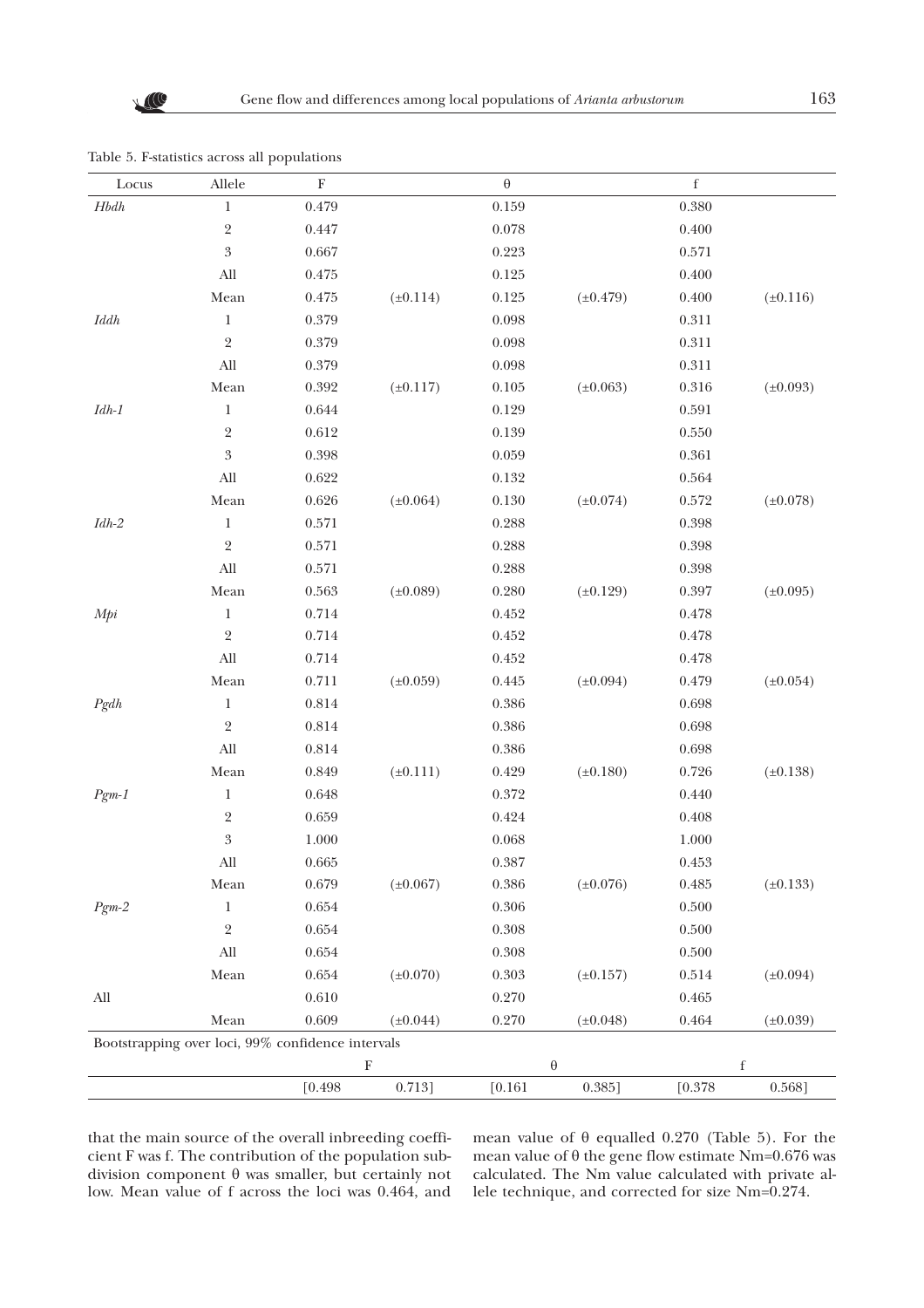| Locus          | Allele                                            | $\mathbf F$ |               | $\boldsymbol{\theta}$ |                       | $\mathbf f$ |               |
|----------------|---------------------------------------------------|-------------|---------------|-----------------------|-----------------------|-------------|---------------|
| $H\!b dh$      | $\mathbf 1$                                       | 0.479       |               | 0.159                 |                       | 0.380       |               |
|                | $\sqrt{2}$                                        | 0.447       |               | 0.078                 |                       | $0.400\,$   |               |
|                | $\boldsymbol{3}$                                  | 0.667       |               | 0.223                 |                       | 0.571       |               |
|                | All                                               | 0.475       |               | 0.125                 |                       | $0.400\,$   |               |
|                | Mean                                              | 0.475       | $(\pm 0.114)$ | 0.125                 | $(\pm 0.479)$         | $0.400\,$   | $(\pm 0.116)$ |
| $I d d h$      | $\mathbf{1}$                                      | 0.379       |               | 0.098                 |                       | 0.311       |               |
|                | $\sqrt{2}$                                        | 0.379       |               | 0.098                 |                       | 0.311       |               |
|                | All                                               | 0.379       |               | 0.098                 |                       | 0.311       |               |
|                | ${\it Mean}$                                      | 0.392       | $(\pm 0.117)$ | 0.105                 | $(\pm 0.063)$         | $0.316\,$   | $(\pm 0.093)$ |
| $Idh\text{-}1$ | $\,1$                                             | 0.644       |               | 0.129                 |                       | 0.591       |               |
|                | $\,2$                                             | 0.612       |               | 0.139                 |                       | $0.550\,$   |               |
|                | $\sqrt{3}$                                        | 0.398       |               | 0.059                 |                       | 0.361       |               |
|                | All                                               | 0.622       |               | 0.132                 |                       | 0.564       |               |
|                | Mean                                              | 0.626       | $(\pm 0.064)$ | 0.130                 | $(\pm 0.074)$         | $0.572\,$   | $(\pm 0.078)$ |
| $Idh\text{-}2$ | $\mathbf{1}$                                      | 0.571       |               | 0.288                 |                       | 0.398       |               |
|                | $\overline{2}$                                    | 0.571       |               | 0.288                 |                       | 0.398       |               |
|                | $\mathop{\rm All}\nolimits$                       | 0.571       |               | 0.288                 |                       | 0.398       |               |
|                | ${\it Mean}$                                      | $\,0.563\,$ | $(\pm 0.089)$ | 0.280                 | $(\pm 0.129)$         | 0.397       | $(\pm 0.095)$ |
| Mpi            | $\,1$                                             | 0.714       |               | 0.452                 |                       | 0.478       |               |
|                | $\sqrt{2}$                                        | 0.714       |               | 0.452                 |                       | 0.478       |               |
|                | ${\rm All}$                                       | 0.714       |               | 0.452                 |                       | 0.478       |               |
|                | ${\it Mean}$                                      | 0.711       | $(\pm 0.059)$ | 0.445                 | $(\pm 0.094)$         | 0.479       | $(\pm 0.054)$ |
| Pgdh           | $\mathbf{1}$                                      | 0.814       |               | 0.386                 |                       | 0.698       |               |
|                | $\sqrt{2}$                                        | 0.814       |               | 0.386                 |                       | 0.698       |               |
|                | ${\rm All}$                                       | 0.814       |               | 0.386                 |                       | 0.698       |               |
|                | Mean                                              | 0.849       | $(\pm 0.111)$ | 0.429                 | $(\pm 0.180)$         | 0.726       | $(\pm 0.138)$ |
| $Pgm-1$        | $\,1$                                             | 0.648       |               | 0.372                 |                       | $0.440\,$   |               |
|                | $\sqrt{2}$                                        | 0.659       |               | 0.424                 |                       | 0.408       |               |
|                | $\sqrt{3}$                                        | 1.000       |               | 0.068                 |                       | $1.000\,$   |               |
|                | All                                               | 0.665       |               | 0.387                 |                       | $0.453\,$   |               |
|                | Mean                                              | 0.679       | $(\pm 0.067)$ | 0.386                 | $(\pm 0.076)$         | 0.485       | $(\pm 0.133)$ |
| $Pgm-2$        | $\mathbf{1}$                                      | 0.654       |               | 0.306                 |                       | $0.500\,$   |               |
|                | $\overline{2}$                                    | 0.654       |               | 0.308                 |                       | 0.500       |               |
|                | ${\rm All}$                                       | 0.654       |               | 0.308                 |                       | 0.500       |               |
|                | Mean                                              | 0.654       | $(\pm 0.070)$ | 0.303                 | $(\pm 0.157)$         | 0.514       | $(\pm 0.094)$ |
| All            |                                                   | 0.610       |               | 0.270                 |                       | 0.465       |               |
|                | Mean                                              | 0.609       | $(\pm 0.044)$ | 0.270                 | $(\pm 0.048)$         | 0.464       | $(\pm 0.039)$ |
|                | Bootstrapping over loci, 99% confidence intervals |             |               |                       |                       |             |               |
|                |                                                   |             | $\mathbf F$   |                       | $\boldsymbol{\theta}$ |             | $\mathbf f$   |
|                |                                                   | [0.498]     | 0.713]        | [0.161]               | 0.385]                | [0.378]     | 0.568]        |

Table 5. F-statistics across all populations

that the main source of the overall inbreeding coefficient F was f. The contribution of the population subdivision component  $\theta$  was smaller, but certainly not low. Mean value of f across the loci was 0.464, and mean value of  $\theta$  equalled 0.270 (Table 5). For the mean value of  $\theta$  the gene flow estimate Nm=0.676 was calculated. The Nm value calculated with private allele technique, and corrected for size Nm=0.274.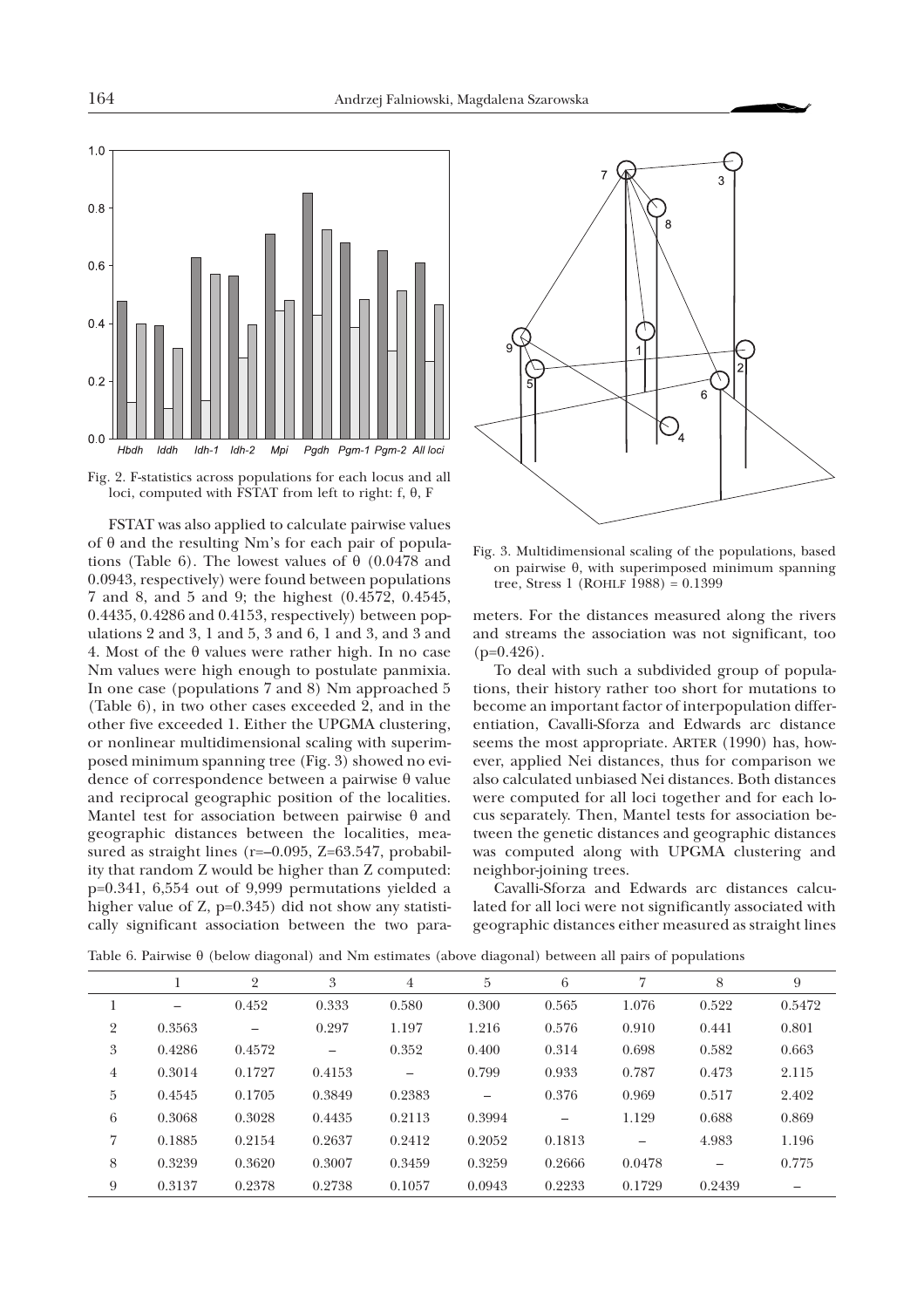

Fig. 2. F-statistics across populations for each locus and all loci, computed with  $\hat{F}STAT$  from left to right: f,  $\theta$ , F

FSTAT was also applied to calculate pairwise values of  $\theta$  and the resulting Nm's for each pair of populations (Table 6). The lowest values of  $\theta$  (0.0478 and 0.0943, respectively) were found between populations 7 and 8, and 5 and 9; the highest (0.4572, 0.4545, 0.4435, 0.4286 and 0.4153, respectively) between populations 2 and 3, 1 and 5, 3 and 6, 1 and 3, and 3 and 4. Most of the  $\theta$  values were rather high. In no case Nm values were high enough to postulate panmixia. In one case (populations 7 and 8) Nm approached 5 (Table 6), in two other cases exceeded 2, and in the other five exceeded 1. Either the UPGMA clustering, or nonlinear multidimensional scaling with superimposed minimum spanning tree (Fig. 3) showed no evidence of correspondence between a pairwise  $\theta$  value and reciprocal geographic position of the localities. Mantel test for association between pairwise  $\theta$  and geographic distances between the localities, measured as straight lines (r=-0.095, Z=63.547, probability that random Z would be higher than Z computed: p=0.341, 6,554 out of 9,999 permutations yielded a higher value of Z, p=0.345) did not show any statistically significant association between the two para-



Fig. 3. Multidimensional scaling of the populations, based on pairwise  $\theta$ , with superimposed minimum spanning tree, Stress 1 (ROHLF 1988) =  $0.1399$ 

meters. For the distances measured along the rivers and streams the association was not significant, too  $(p=0.426)$ .

To deal with such a subdivided group of populations, their history rather too short for mutations to become an important factor of interpopulation differentiation, Cavalli-Sforza and Edwards arc distance seems the most appropriate. ARTER (1990) has, however, applied Nei distances, thus for comparison we also calculated unbiased Nei distances. Both distances were computed for all loci together and for each locus separately. Then, Mantel tests for association between the genetic distances and geographic distances was computed along with UPGMA clustering and neighbor-joining trees.

Cavalli-Sforza and Edwards arc distances calculated for all loci were not significantly associated with geographic distances either measured as straight lines

|                |                          | $\overline{2}$ | 3                        | $\overline{4}$ | 5      | 6      |        | 8                        | 9      |
|----------------|--------------------------|----------------|--------------------------|----------------|--------|--------|--------|--------------------------|--------|
|                | $\overline{\phantom{0}}$ | 0.452          | 0.333                    | 0.580          | 0.300  | 0.565  | 1.076  | 0.522                    | 0.5472 |
| $\overline{2}$ | 0.3563                   |                | 0.297                    | 1.197          | 1.216  | 0.576  | 0.910  | 0.441                    | 0.801  |
| 3              | 0.4286                   | 0.4572         | $\overline{\phantom{0}}$ | 0.352          | 0.400  | 0.314  | 0.698  | 0.582                    | 0.663  |
| 4              | 0.3014                   | 0.1727         | 0.4153                   |                | 0.799  | 0.933  | 0.787  | 0.473                    | 2.115  |
| 5              | 0.4545                   | 0.1705         | 0.3849                   | 0.2383         |        | 0.376  | 0.969  | 0.517                    | 2.402  |
| 6              | 0.3068                   | 0.3028         | 0.4435                   | 0.2113         | 0.3994 |        | 1.129  | 0.688                    | 0.869  |
| 7              | 0.1885                   | 0.2154         | 0.2637                   | 0.2412         | 0.2052 | 0.1813 |        | 4.983                    | 1.196  |
| 8              | 0.3239                   | 0.3620         | 0.3007                   | 0.3459         | 0.3259 | 0.2666 | 0.0478 | $\overline{\phantom{0}}$ | 0.775  |
| 9              | 0.3137                   | 0.2378         | 0.2738                   | 0.1057         | 0.0943 | 0.2233 | 0.1729 | 0.2439                   |        |

Table 6. Pairwise  $\theta$  (below diagonal) and Nm estimates (above diagonal) between all pairs of populations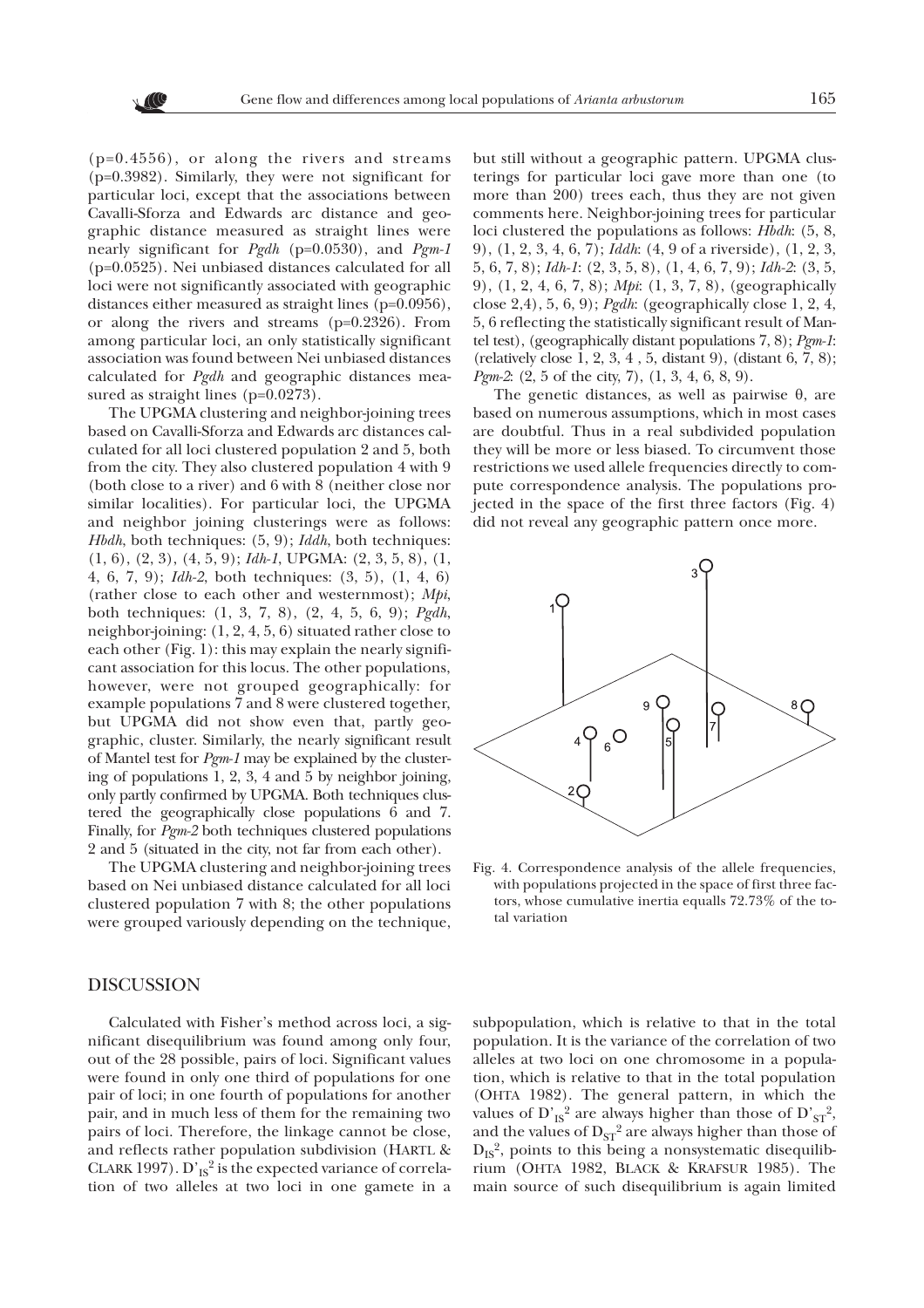

(p=0.4556), or along the rivers and streams (p=0.3982). Similarly, they were not significant for particular loci, except that the associations between Cavalli-Sforza and Edwards arc distance and geographic distance measured as straight lines were nearly significant for *Pgdh* (p=0.0530), and *Pgm-1* (p=0.0525). Nei unbiased distances calculated for all loci were not significantly associated with geographic distances either measured as straight lines (p=0.0956), or along the rivers and streams (p=0.2326). From among particular loci, an only statistically significant association was found between Nei unbiased distances calculated for *Pgdh* and geographic distances measured as straight lines (p=0.0273).

The UPGMA clustering and neighbor-joining trees based on Cavalli-Sforza and Edwards arc distances calculated for all loci clustered population 2 and 5, both from the city. They also clustered population 4 with 9 (both close to a river) and 6 with 8 (neither close nor similar localities). For particular loci, the UPGMA and neighbor joining clusterings were as follows: *Hbdh*, both techniques: (5, 9); *Iddh*, both techniques: (1, 6), (2, 3), (4, 5, 9); *Idh-1*, UPGMA: (2, 3, 5, 8), (1, 4, 6, 7, 9); *Idh-2*, both techniques: (3, 5), (1, 4, 6) (rather close to each other and westernmost); *Mpi*, both techniques: (1, 3, 7, 8), (2, 4, 5, 6, 9); *Pgdh*, neighbor-joining: (1, 2, 4, 5, 6) situated rather close to each other (Fig. 1): this may explain the nearly significant association for this locus. The other populations, however, were not grouped geographically: for example populations 7 and 8 were clustered together, but UPGMA did not show even that, partly geographic, cluster. Similarly, the nearly significant result of Mantel test for *Pgm-1* may be explained by the clustering of populations 1, 2, 3, 4 and 5 by neighbor joining, only partly confirmed by UPGMA. Both techniques clustered the geographically close populations 6 and 7. Finally, for *Pgm-2* both techniques clustered populations 2 and 5 (situated in the city, not far from each other).

The UPGMA clustering and neighbor-joining trees based on Nei unbiased distance calculated for all loci clustered population 7 with 8; the other populations were grouped variously depending on the technique,

## DISCUSSION

Calculated with Fisher's method across loci, a significant disequilibrium was found among only four, out of the 28 possible, pairs of loci. Significant values were found in only one third of populations for one pair of loci; in one fourth of populations for another pair, and in much less of them for the remaining two pairs of loci. Therefore, the linkage cannot be close, and reflects rather population subdivision (HARTL & CLARK 1997).  $D'_{IS}^2$  is the expected variance of correlation of two alleles at two loci in one gamete in a

but still without a geographic pattern. UPGMA clusterings for particular loci gave more than one (to more than 200) trees each, thus they are not given comments here. Neighbor-joining trees for particular loci clustered the populations as follows: *Hbdh*: (5, 8, 9), (1, 2, 3, 4, 6, 7); *Iddh*: (4, 9 of a riverside), (1, 2, 3, 5, 6, 7, 8); *Idh-1*: (2, 3, 5, 8), (1, 4, 6, 7, 9); *Idh-2*: (3, 5, 9), (1, 2, 4, 6, 7, 8); *Mpi*: (1, 3, 7, 8), (geographically close 2,4), 5, 6, 9); *Pgdh*: (geographically close 1, 2, 4, 5, 6 reflecting the statistically significant result of Mantel test), (geographically distant populations 7, 8); *Pgm-1*: (relatively close 1, 2, 3, 4 , 5, distant 9), (distant 6, 7, 8); *Pgm-2*: (2, 5 of the city, 7), (1, 3, 4, 6, 8, 9).

The genetic distances, as well as pairwise  $\theta$ , are based on numerous assumptions, which in most cases are doubtful. Thus in a real subdivided population they will be more or less biased. To circumvent those restrictions we used allele frequencies directly to compute correspondence analysis. The populations projected in the space of the first three factors (Fig. 4) did not reveal any geographic pattern once more.



Fig. 4. Correspondence analysis of the allele frequencies, with populations projected in the space of first three factors, whose cumulative inertia equalls 72.73% of the total variation

subpopulation, which is relative to that in the total population. It is the variance of the correlation of two alleles at two loci on one chromosome in a population, which is relative to that in the total population (OHTA 1982). The general pattern, in which the values of  $D'_{IS}^2$  are always higher than those of  $D'_{ST}^2$ , and the values of  $D_{ST}^2$  are always higher than those of  $D_{IS}^2$ , points to this being a nonsystematic disequilibrium (OHTA 1982, BLACK & KRAFSUR 1985). The main source of such disequilibrium is again limited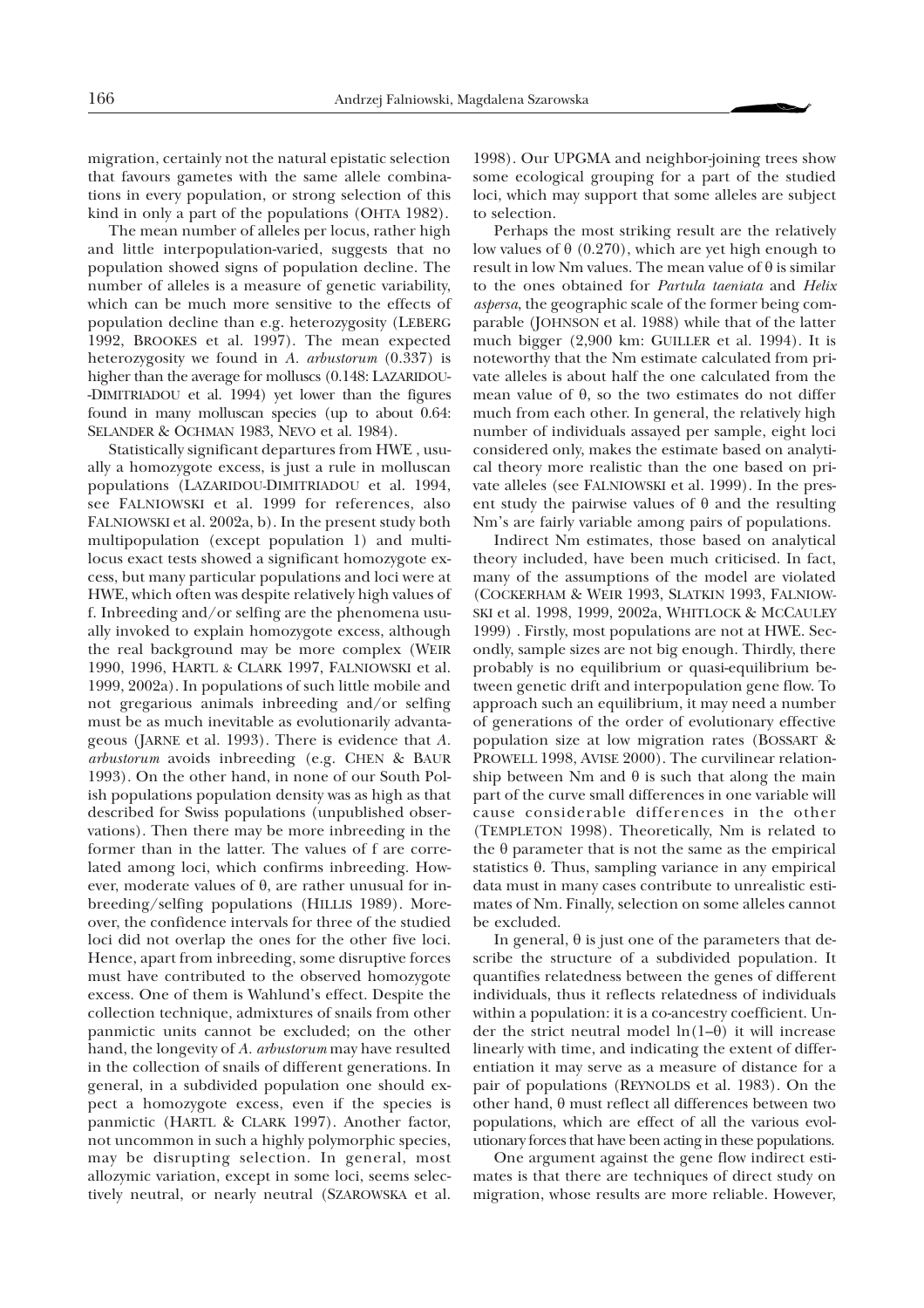migration, certainly not the natural epistatic selection that favours gametes with the same allele combinations in every population, or strong selection of this kind in only a part of the populations (OHTA 1982).

The mean number of alleles per locus, rather high and little interpopulation-varied, suggests that no population showed signs of population decline. The number of alleles is a measure of genetic variability, which can be much more sensitive to the effects of population decline than e.g. heterozygosity (LEBERG 1992, BROOKES et al. 1997). The mean expected heterozygosity we found in *A. arbustorum* (0.337) is higher than the average for molluscs (0.148: LAZARIDOU- -DIMITRIADOU et al. 1994) yet lower than the figures found in many molluscan species (up to about 0.64: SELANDER & OCHMAN 1983, NEVO et al. 1984).

Statistically significant departures from HWE , usually a homozygote excess, is just a rule in molluscan populations (LAZARIDOU-DIMITRIADOU et al. 1994, see FALNIOWSKI et al. 1999 for references, also FALNIOWSKI et al. 2002a, b). In the present study both multipopulation (except population 1) and multilocus exact tests showed a significant homozygote excess, but many particular populations and loci were at HWE, which often was despite relatively high values of f. Inbreeding and/or selfing are the phenomena usually invoked to explain homozygote excess, although the real background may be more complex (WEIR 1990, 1996, HARTL & CLARK 1997, FALNIOWSKI et al. 1999, 2002a). In populations of such little mobile and not gregarious animals inbreeding and/or selfing must be as much inevitable as evolutionarily advantageous (JARNE et al. 1993). There is evidence that *A. arbustorum* avoids inbreeding (e.g. CHEN & BAUR 1993). On the other hand, in none of our South Polish populations population density was as high as that described for Swiss populations (unpublished observations). Then there may be more inbreeding in the former than in the latter. The values of f are correlated among loci, which confirms inbreeding. However, moderate values of  $\theta$ , are rather unusual for inbreeding/selfing populations (HILLIS 1989). Moreover, the confidence intervals for three of the studied loci did not overlap the ones for the other five loci. Hence, apart from inbreeding, some disruptive forces must have contributed to the observed homozygote excess. One of them is Wahlund's effect. Despite the collection technique, admixtures of snails from other panmictic units cannot be excluded; on the other hand, the longevity of *A. arbustorum* may have resulted in the collection of snails of different generations. In general, in a subdivided population one should expect a homozygote excess, even if the species is panmictic (HARTL & CLARK 1997). Another factor, not uncommon in such a highly polymorphic species, may be disrupting selection. In general, most allozymic variation, except in some loci, seems selectively neutral, or nearly neutral (SZAROWSKA et al.

1998). Our UPGMA and neighbor-joining trees show some ecological grouping for a part of the studied loci, which may support that some alleles are subject to selection.

Perhaps the most striking result are the relatively low values of  $\theta$  (0.270), which are yet high enough to result in low Nm values. The mean value of  $\theta$  is similar to the ones obtained for *Partula taeniata* and *Helix aspersa*, the geographic scale of the former being comparable (JOHNSON et al. 1988) while that of the latter much bigger (2,900 km: GUILLER et al. 1994). It is noteworthy that the Nm estimate calculated from private alleles is about half the one calculated from the mean value of  $\theta$ , so the two estimates do not differ much from each other. In general, the relatively high number of individuals assayed per sample, eight loci considered only, makes the estimate based on analytical theory more realistic than the one based on private alleles (see FALNIOWSKI et al. 1999). In the present study the pairwise values of  $\theta$  and the resulting Nm's are fairly variable among pairs of populations.

Indirect Nm estimates, those based on analytical theory included, have been much criticised. In fact, many of the assumptions of the model are violated (COCKERHAM & WEIR 1993, SLATKIN 1993, FALNIOW-SKI et al. 1998, 1999, 2002a, WHITLOCK & MCCAULEY 1999) . Firstly, most populations are not at HWE. Secondly, sample sizes are not big enough. Thirdly, there probably is no equilibrium or quasi-equilibrium between genetic drift and interpopulation gene flow. To approach such an equilibrium, it may need a number of generations of the order of evolutionary effective population size at low migration rates (BOSSART & PROWELL 1998, AVISE 2000). The curvilinear relationship between Nm and  $\theta$  is such that along the main part of the curve small differences in one variable will cause considerable differences in the other (TEMPLETON 1998). Theoretically, Nm is related to the  $\theta$  parameter that is not the same as the empirical statistics  $\theta$ . Thus, sampling variance in any empirical data must in many cases contribute to unrealistic estimates of Nm. Finally, selection on some alleles cannot be excluded.

In general,  $\theta$  is just one of the parameters that describe the structure of a subdivided population. It quantifies relatedness between the genes of different individuals, thus it reflects relatedness of individuals within a population: it is a co-ancestry coefficient. Under the strict neutral model  $ln(1-\theta)$  it will increase linearly with time, and indicating the extent of differentiation it may serve as a measure of distance for a pair of populations (REYNOLDS et al. 1983). On the other hand,  $\theta$  must reflect all differences between two populations, which are effect of all the various evolutionary forces that have been acting in these populations.

One argument against the gene flow indirect estimates is that there are techniques of direct study on migration, whose results are more reliable. However,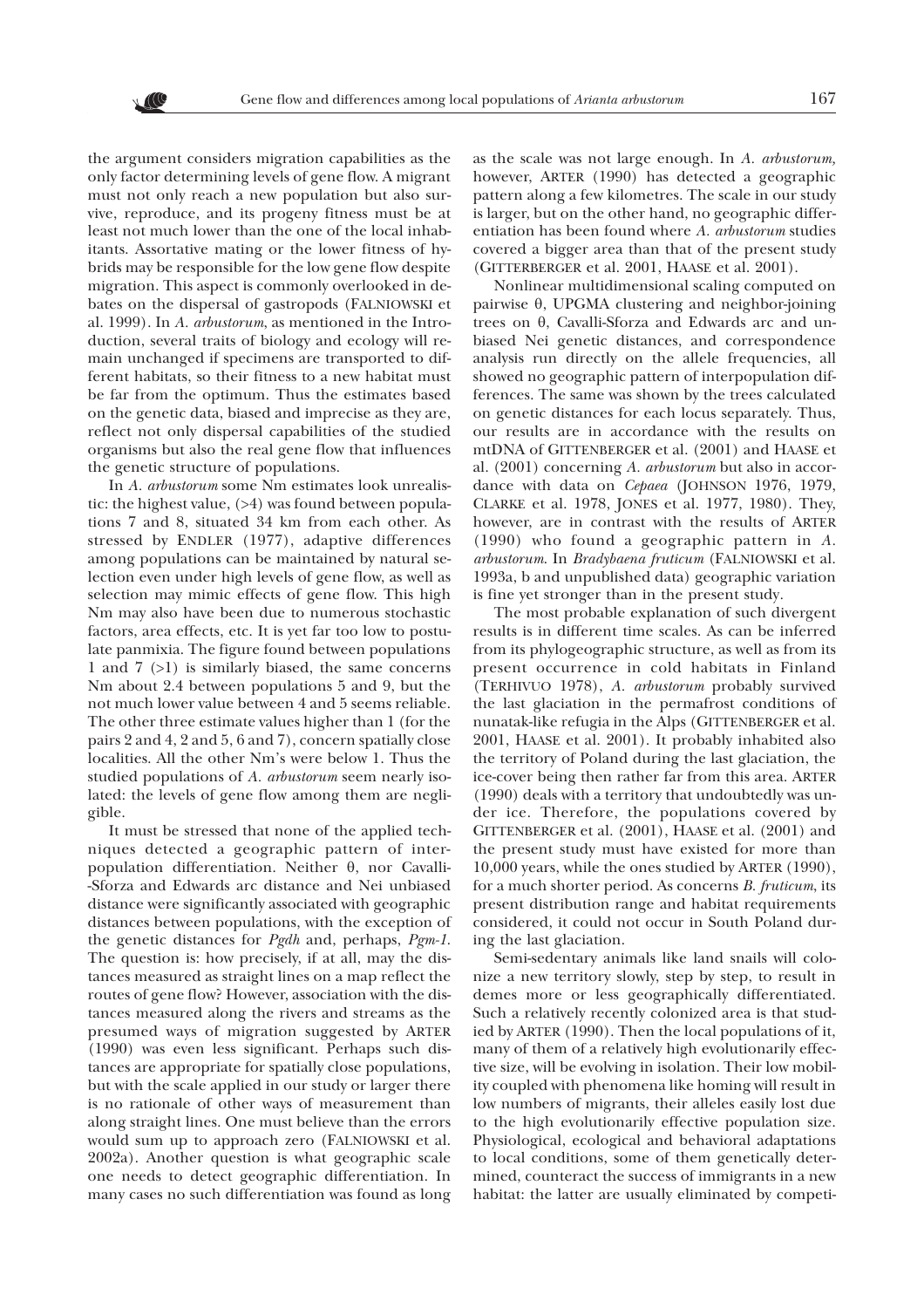the argument considers migration capabilities as the only factor determining levels of gene flow. A migrant must not only reach a new population but also survive, reproduce, and its progeny fitness must be at least not much lower than the one of the local inhabitants. Assortative mating or the lower fitness of hybrids may be responsible for the low gene flow despite migration. This aspect is commonly overlooked in debates on the dispersal of gastropods (FALNIOWSKI et al. 1999). In *A. arbustorum*, as mentioned in the Introduction, several traits of biology and ecology will remain unchanged if specimens are transported to different habitats, so their fitness to a new habitat must be far from the optimum. Thus the estimates based on the genetic data, biased and imprecise as they are, reflect not only dispersal capabilities of the studied organisms but also the real gene flow that influences the genetic structure of populations.

In *A. arbustorum* some Nm estimates look unrealistic: the highest value,  $(>4)$  was found between populations 7 and 8, situated 34 km from each other. As stressed by ENDLER (1977), adaptive differences among populations can be maintained by natural selection even under high levels of gene flow, as well as selection may mimic effects of gene flow. This high Nm may also have been due to numerous stochastic factors, area effects, etc. It is yet far too low to postulate panmixia. The figure found between populations 1 and 7 (>1) is similarly biased, the same concerns Nm about 2.4 between populations 5 and 9, but the not much lower value between 4 and 5 seems reliable. The other three estimate values higher than 1 (for the pairs 2 and 4, 2 and 5, 6 and 7), concern spatially close localities. All the other Nm's were below 1. Thus the studied populations of *A. arbustorum* seem nearly isolated: the levels of gene flow among them are negligible.

It must be stressed that none of the applied techniques detected a geographic pattern of interpopulation differentiation. Neither  $\theta$ , nor Cavalli--Sforza and Edwards arc distance and Nei unbiased distance were significantly associated with geographic distances between populations, with the exception of the genetic distances for *Pgdh* and, perhaps, *Pgm-1*. The question is: how precisely, if at all, may the distances measured as straight lines on a map reflect the routes of gene flow? However, association with the distances measured along the rivers and streams as the presumed ways of migration suggested by ARTER (1990) was even less significant. Perhaps such distances are appropriate for spatially close populations, but with the scale applied in our study or larger there is no rationale of other ways of measurement than along straight lines. One must believe than the errors would sum up to approach zero (FALNIOWSKI et al. 2002a). Another question is what geographic scale one needs to detect geographic differentiation. In many cases no such differentiation was found as long as the scale was not large enough. In *A. arbustorum,* however, ARTER (1990) has detected a geographic pattern along a few kilometres. The scale in our study is larger, but on the other hand, no geographic differentiation has been found where *A. arbustorum* studies covered a bigger area than that of the present study (GITTERBERGER et al. 2001, HAASE et al. 2001).

Nonlinear multidimensional scaling computed on pairwise  $\theta$ , UPGMA clustering and neighbor-joining trees on  $\theta$ , Cavalli-Sforza and Edwards arc and unbiased Nei genetic distances, and correspondence analysis run directly on the allele frequencies, all showed no geographic pattern of interpopulation differences. The same was shown by the trees calculated on genetic distances for each locus separately. Thus, our results are in accordance with the results on mtDNA of GITTENBERGER et al. (2001) and HAASE et al. (2001) concerning *A. arbustorum* but also in accordance with data on *Cepaea* (JOHNSON 1976, 1979, CLARKE et al. 1978, JONES et al. 1977, 1980). They, however, are in contrast with the results of ARTER (1990) who found a geographic pattern in *A. arbustorum*. In *Bradybaena fruticum* (FALNIOWSKI et al. 1993a, b and unpublished data) geographic variation is fine yet stronger than in the present study*.*

The most probable explanation of such divergent results is in different time scales. As can be inferred from its phylogeographic structure, as well as from its present occurrence in cold habitats in Finland (TERHIVUO 1978), *A. arbustorum* probably survived the last glaciation in the permafrost conditions of nunatak-like refugia in the Alps (GITTENBERGER et al. 2001, HAASE et al. 2001). It probably inhabited also the territory of Poland during the last glaciation, the ice-cover being then rather far from this area. ARTER (1990) deals with a territory that undoubtedly was under ice. Therefore, the populations covered by GITTENBERGER et al. (2001), HAASE et al. (2001) and the present study must have existed for more than 10,000 years, while the ones studied by ARTER (1990), for a much shorter period. As concerns *B. fruticum*, its present distribution range and habitat requirements considered, it could not occur in South Poland during the last glaciation.

Semi-sedentary animals like land snails will colonize a new territory slowly, step by step, to result in demes more or less geographically differentiated. Such a relatively recently colonized area is that studied by ARTER (1990). Then the local populations of it, many of them of a relatively high evolutionarily effective size, will be evolving in isolation. Their low mobility coupled with phenomena like homing will result in low numbers of migrants, their alleles easily lost due to the high evolutionarily effective population size. Physiological, ecological and behavioral adaptations to local conditions, some of them genetically determined, counteract the success of immigrants in a new habitat: the latter are usually eliminated by competi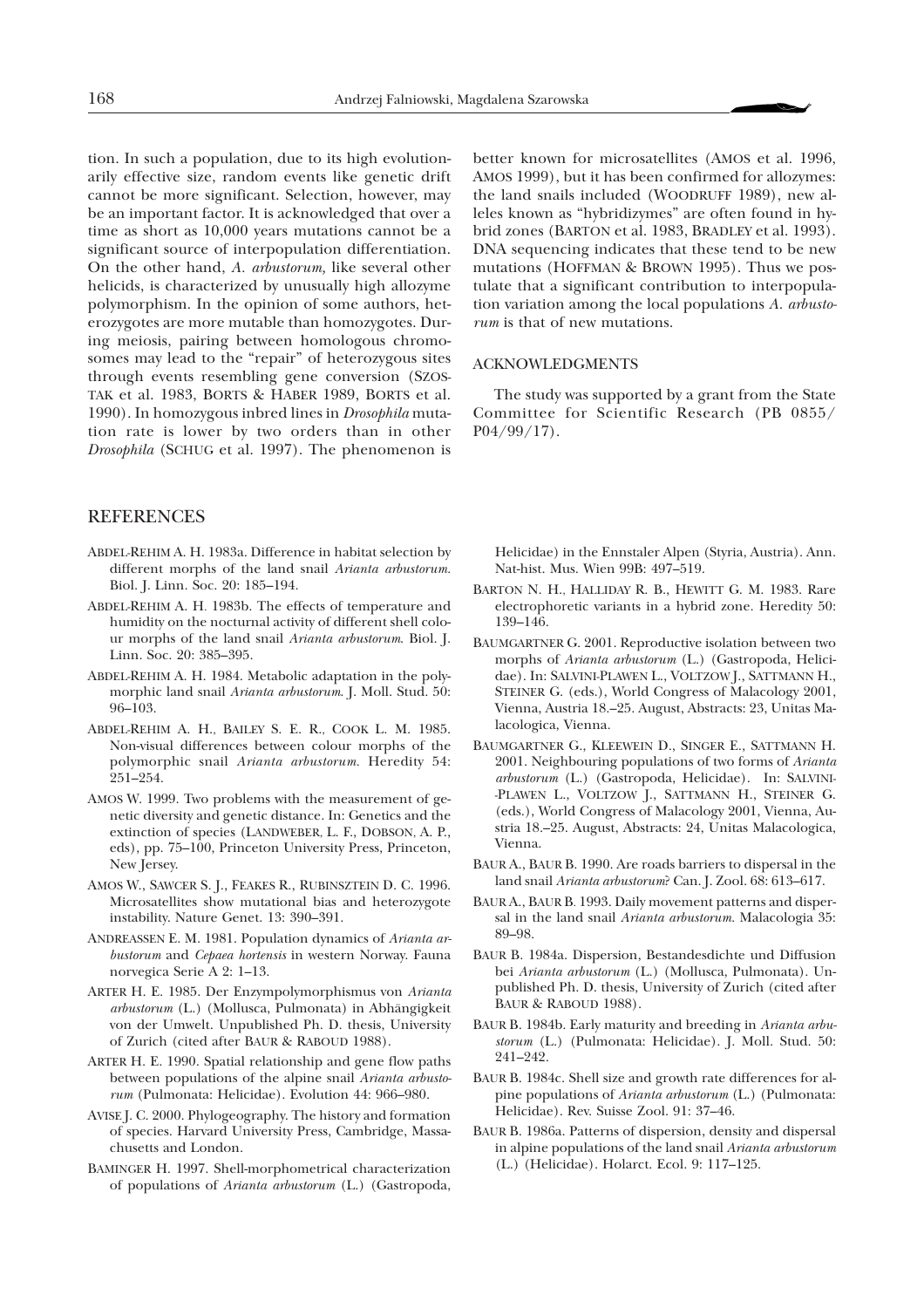tion. In such a population, due to its high evolutionarily effective size, random events like genetic drift cannot be more significant. Selection, however, may be an important factor. It is acknowledged that over a time as short as 10,000 years mutations cannot be a significant source of interpopulation differentiation. On the other hand, *A. arbustorum,* like several other helicids, is characterized by unusually high allozyme polymorphism. In the opinion of some authors, heterozygotes are more mutable than homozygotes. During meiosis, pairing between homologous chromosomes may lead to the "repair" of heterozygous sites through events resembling gene conversion (SZOS-TAK et al. 1983, BORTS & HABER 1989, BORTS et al. 1990). In homozygous inbred lines in *Drosophila* mutation rate is lower by two orders than in other *Drosophila* (SCHUG et al. 1997). The phenomenon is

## REFERENCES

- ABDEL-REHIM A. H. 1983a. Difference in habitat selection by different morphs of the land snail *Arianta arbustorum.* Biol. J. Linn. Soc. 20: 185–194.
- ABDEL-REHIM A. H. 1983b. The effects of temperature and humidity on the nocturnal activity of different shell colour morphs of the land snail *Arianta arbustorum*. Biol. J. Linn. Soc. 20: 385–395.
- ABDEL-REHIM A. H. 1984. Metabolic adaptation in the polymorphic land snail *Arianta arbustorum*. J. Moll. Stud. 50: 96–103.
- ABDEL-REHIM A. H., BAILEY S. E. R., COOK L. M. 1985. Non-visual differences between colour morphs of the polymorphic snail *Arianta arbustorum.* Heredity 54: 251–254.
- AMOS W. 1999. Two problems with the measurement of genetic diversity and genetic distance. In: Genetics and the extinction of species (LANDWEBER, L. F., DOBSON, A. P., eds), pp. 75–100, Princeton University Press, Princeton, New Jersey.
- AMOS W., SAWCER S. J., FEAKES R., RUBINSZTEIN D. C. 1996. Microsatellites show mutational bias and heterozygote instability. Nature Genet. 13: 390–391.
- ANDREASSEN E. M. 1981. Population dynamics of *Arianta arbustorum* and *Cepaea hortensis* in western Norway. Fauna norvegica Serie A 2: 1–13.
- ARTER H. E. 1985. Der Enzympolymorphismus von *Arianta arbustorum* (L.) (Mollusca, Pulmonata) in Abhängigkeit von der Umwelt. Unpublished Ph. D. thesis, University of Zurich (cited after BAUR & RABOUD 1988).
- ARTER H. E. 1990. Spatial relationship and gene flow paths between populations of the alpine snail *Arianta arbustorum* (Pulmonata: Helicidae). Evolution 44: 966–980.
- AVISE J. C. 2000. Phylogeography. The history and formation of species. Harvard University Press, Cambridge, Massachusetts and London.
- BAMINGER H. 1997. Shell-morphometrical characterization of populations of *Arianta arbustorum* (L.) (Gastropoda,

better known for microsatellites (AMOS et al. 1996, AMOS 1999), but it has been confirmed for allozymes: the land snails included (WOODRUFF 1989), new alleles known as "hybridizymes" are often found in hybrid zones (BARTON et al. 1983, BRADLEY et al. 1993). DNA sequencing indicates that these tend to be new mutations (HOFFMAN & BROWN 1995). Thus we postulate that a significant contribution to interpopulation variation among the local populations *A. arbustorum* is that of new mutations.

## ACKNOWLEDGMENTS

The study was supported by a grant from the State Committee for Scientific Research (PB 0855/ P04/99/17).

Helicidae) in the Ennstaler Alpen (Styria, Austria). Ann. Nat-hist. Mus. Wien 99B: 497–519.

- BARTON N. H., HALLIDAY R. B., HEWITT G. M. 1983. Rare electrophoretic variants in a hybrid zone. Heredity 50: 139–146.
- BAUMGARTNER G. 2001. Reproductive isolation between two morphs of *Arianta arbustorum* (L.) (Gastropoda, Helicidae). In: SALVINI-PLAWEN L., VOLTZOW J., SATTMANN H., STEINER G. (eds.), World Congress of Malacology 2001, Vienna, Austria 18.–25. August, Abstracts: 23, Unitas Malacologica, Vienna.
- BAUMGARTNER G., KLEEWEIN D., SINGER E., SATTMANN H. 2001. Neighbouring populations of two forms of *Arianta arbustorum* (L.) (Gastropoda, Helicidae). In: SALVINI- -PLAWEN L., VOLTZOW J., SATTMANN H., STEINER G. (eds.), World Congress of Malacology 2001, Vienna, Austria 18.–25. August, Abstracts: 24, Unitas Malacologica, Vienna.
- BAUR A., BAUR B. 1990. Are roads barriers to dispersal in the land snail *Arianta arbustorum*? Can. J. Zool. 68: 613–617.
- BAUR A., BAUR B. 1993. Daily movement patterns and dispersal in the land snail *Arianta arbustorum.* Malacologia 35: 89–98.
- BAUR B. 1984a. Dispersion, Bestandesdichte und Diffusion bei *Arianta arbustorum* (L.) (Mollusca, Pulmonata). Unpublished Ph. D. thesis, University of Zurich (cited after BAUR & RABOUD 1988).
- BAUR B. 1984b. Early maturity and breeding in *Arianta arbustorum* (L.) (Pulmonata: Helicidae). J. Moll. Stud. 50: 241–242.
- BAUR B. 1984c. Shell size and growth rate differences for alpine populations of *Arianta arbustorum* (L.) (Pulmonata: Helicidae). Rev. Suisse Zool. 91: 37–46.
- BAUR B. 1986a. Patterns of dispersion, density and dispersal in alpine populations of the land snail *Arianta arbustorum* (L.) (Helicidae). Holarct. Ecol. 9: 117–125.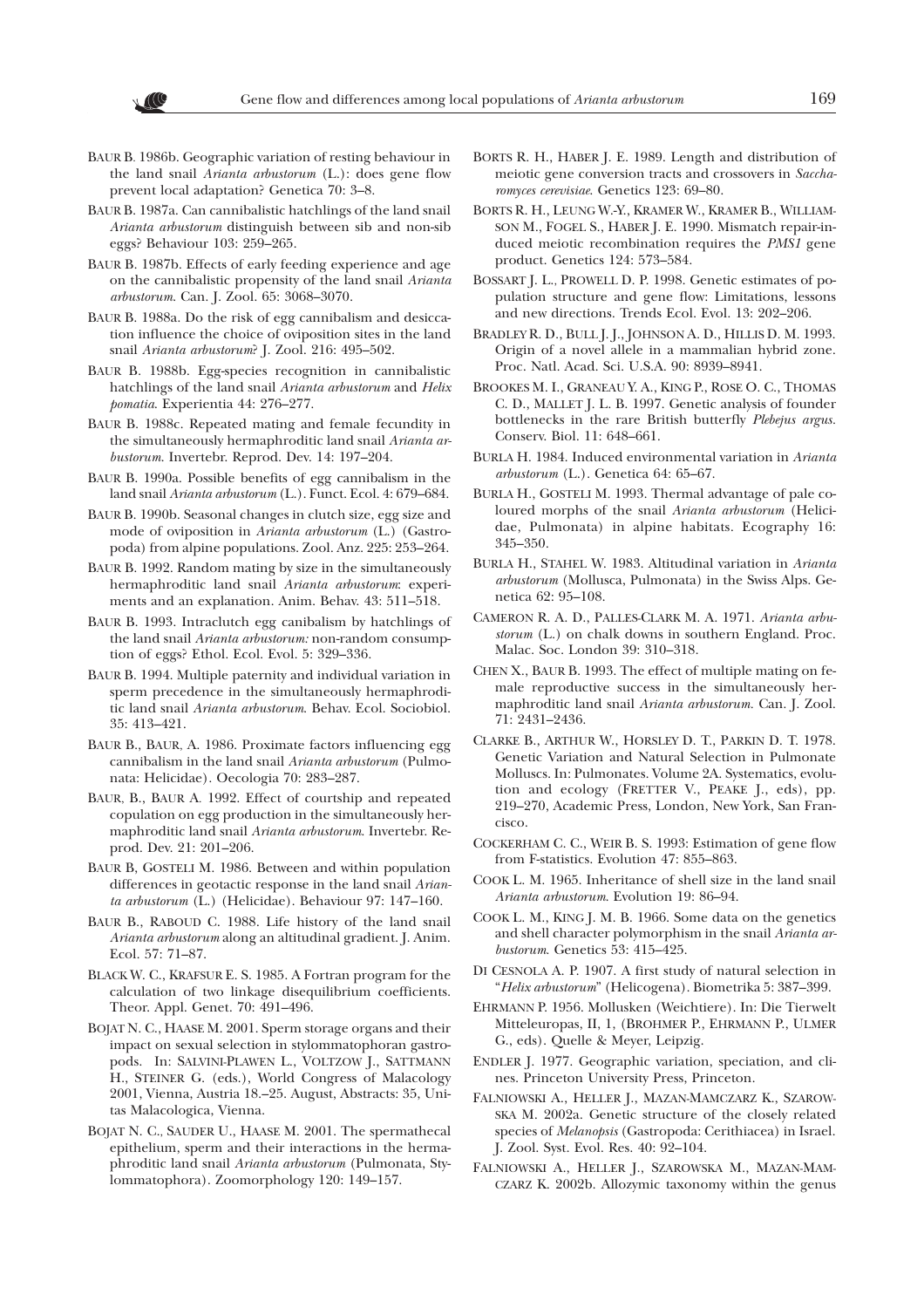- BAUR B. 1986b. Geographic variation of resting behaviour in the land snail *Arianta arbustorum* (L.): does gene flow prevent local adaptation? Genetica 70: 3–8.
- BAUR B. 1987a. Can cannibalistic hatchlings of the land snail *Arianta arbustorum* distinguish between sib and non-sib eggs? Behaviour 103: 259–265.
- BAUR B. 1987b. Effects of early feeding experience and age on the cannibalistic propensity of the land snail *Arianta arbustorum*. Can. J. Zool. 65: 3068–3070.
- BAUR B. 1988a. Do the risk of egg cannibalism and desiccation influence the choice of oviposition sites in the land snail *Arianta arbustorum*? J. Zool. 216: 495–502.
- BAUR B. 1988b. Egg-species recognition in cannibalistic hatchlings of the land snail *Arianta arbustorum* and *Helix pomatia*. Experientia 44: 276–277.
- BAUR B. 1988c. Repeated mating and female fecundity in the simultaneously hermaphroditic land snail *Arianta arbustorum*. Invertebr. Reprod. Dev. 14: 197–204.
- BAUR B. 1990a. Possible benefits of egg cannibalism in the land snail *Arianta arbustorum* (L.). Funct. Ecol. 4: 679–684.
- BAUR B. 1990b. Seasonal changes in clutch size, egg size and mode of oviposition in *Arianta arbustorum* (L.) (Gastropoda) from alpine populations. Zool. Anz. 225: 253–264.
- BAUR B. 1992. Random mating by size in the simultaneously hermaphroditic land snail *Arianta arbustorum*: experiments and an explanation. Anim. Behav. 43: 511–518.
- BAUR B. 1993. Intraclutch egg canibalism by hatchlings of the land snail *Arianta arbustorum:* non-random consumption of eggs? Ethol. Ecol. Evol. 5: 329–336.
- BAUR B. 1994. Multiple paternity and individual variation in sperm precedence in the simultaneously hermaphroditic land snail *Arianta arbustorum*. Behav. Ecol. Sociobiol. 35: 413–421.
- BAUR B., BAUR, A. 1986. Proximate factors influencing egg cannibalism in the land snail *Arianta arbustorum* (Pulmonata: Helicidae). Oecologia 70: 283–287.
- BAUR, B., BAUR A. 1992. Effect of courtship and repeated copulation on egg production in the simultaneously hermaphroditic land snail *Arianta arbustorum*. Invertebr. Reprod. Dev. 21: 201–206.
- BAUR B, GOSTELI M. 1986. Between and within population differences in geotactic response in the land snail *Arianta arbustorum* (L.) (Helicidae). Behaviour 97: 147–160.
- BAUR B., RABOUD C. 1988. Life history of the land snail *Arianta arbustorum* along an altitudinal gradient. J. Anim. Ecol. 57: 71–87.
- BLACK W. C., KRAFSUR E. S. 1985. A Fortran program for the calculation of two linkage disequilibrium coefficients. Theor. Appl. Genet. 70: 491–496.
- BOJAT N. C., HAASE M. 2001. Sperm storage organs and their impact on sexual selection in stylommatophoran gastropods. In: SALVINI-PLAWEN L., VOLTZOW J., SATTMANN H., STEINER G. (eds.), World Congress of Malacology 2001, Vienna, Austria 18.–25. August, Abstracts: 35, Unitas Malacologica, Vienna.
- BOJAT N. C., SAUDER U., HAASE M. 2001. The spermathecal epithelium, sperm and their interactions in the hermaphroditic land snail *Arianta arbustorum* (Pulmonata, Stylommatophora). Zoomorphology 120: 149–157.
- BORTS R. H., HABER J. E. 1989. Length and distribution of meiotic gene conversion tracts and crossovers in *Saccharomyces cerevisiae*. Genetics 123: 69–80.
- BORTS R. H., LEUNG W.-Y., KRAMER W., KRAMER B., WILLIAM-SON M., FOGEL S., HABER J. E. 1990. Mismatch repair-induced meiotic recombination requires the *PMS1* gene product. Genetics 124: 573–584.
- BOSSART J. L., PROWELL D. P. 1998. Genetic estimates of population structure and gene flow: Limitations, lessons and new directions. Trends Ecol. Evol. 13: 202–206.
- BRADLEY R. D., BULL J. J., JOHNSON A. D., HILLIS D. M. 1993. Origin of a novel allele in a mammalian hybrid zone. Proc. Natl. Acad. Sci. U.S.A. 90: 8939–8941.
- BROOKES M. I., GRANEAU Y. A., KING P., ROSE O. C., THOMAS C. D., MALLET J. L. B. 1997. Genetic analysis of founder bottlenecks in the rare British butterfly *Plebejus argus.* Conserv. Biol. 11: 648–661.
- BURLA H. 1984. Induced environmental variation in *Arianta arbustorum* (L.). Genetica 64: 65–67.
- BURLA H., GOSTELI M. 1993. Thermal advantage of pale coloured morphs of the snail *Arianta arbustorum* (Helicidae, Pulmonata) in alpine habitats. Ecography 16: 345–350.
- BURLA H., STAHEL W. 1983. Altitudinal variation in *Arianta arbustorum* (Mollusca, Pulmonata) in the Swiss Alps. Genetica 62: 95–108.
- CAMERON R. A. D., PALLES-CLARK M. A. 1971. *Arianta arbustorum* (L.) on chalk downs in southern England. Proc. Malac. Soc. London 39: 310–318.
- CHEN X., BAUR B. 1993. The effect of multiple mating on female reproductive success in the simultaneously hermaphroditic land snail *Arianta arbustorum.* Can. J. Zool. 71: 2431–2436.
- CLARKE B., ARTHUR W., HORSLEY D. T., PARKIN D. T. 1978. Genetic Variation and Natural Selection in Pulmonate Molluscs. In: Pulmonates. Volume 2A. Systematics, evolution and ecology (FRETTER V., PEAKE J., eds), pp. 219–270, Academic Press, London, New York, San Francisco.
- COCKERHAM C. C., WEIR B. S. 1993: Estimation of gene flow from F-statistics. Evolution 47: 855–863.
- COOK L. M. 1965. Inheritance of shell size in the land snail *Arianta arbustorum*. Evolution 19: 86–94.
- COOK L. M., KING J. M. B. 1966. Some data on the genetics and shell character polymorphism in the snail *Arianta arbustorum*. Genetics 53: 415–425.
- DI CESNOLA A. P. 1907. A first study of natural selection in "*Helix arbustorum*" (Helicogena). Biometrika 5: 387–399.
- EHRMANN P. 1956. Mollusken (Weichtiere). In: Die Tierwelt Mitteleuropas, II, 1, (BROHMER P., EHRMANN P., ULMER G., eds). Quelle & Meyer, Leipzig.
- ENDLER J. 1977. Geographic variation, speciation, and clines. Princeton University Press, Princeton.
- FALNIOWSKI A., HELLER J., MAZAN-MAMCZARZ K., SZAROW-SKA M. 2002a. Genetic structure of the closely related species of *Melanopsis* (Gastropoda: Cerithiacea) in Israel. J. Zool. Syst. Evol. Res. 40: 92–104.
- FALNIOWSKI A., HELLER J., SZAROWSKA M., MAZAN-MAM-CZARZ K. 2002b. Allozymic taxonomy within the genus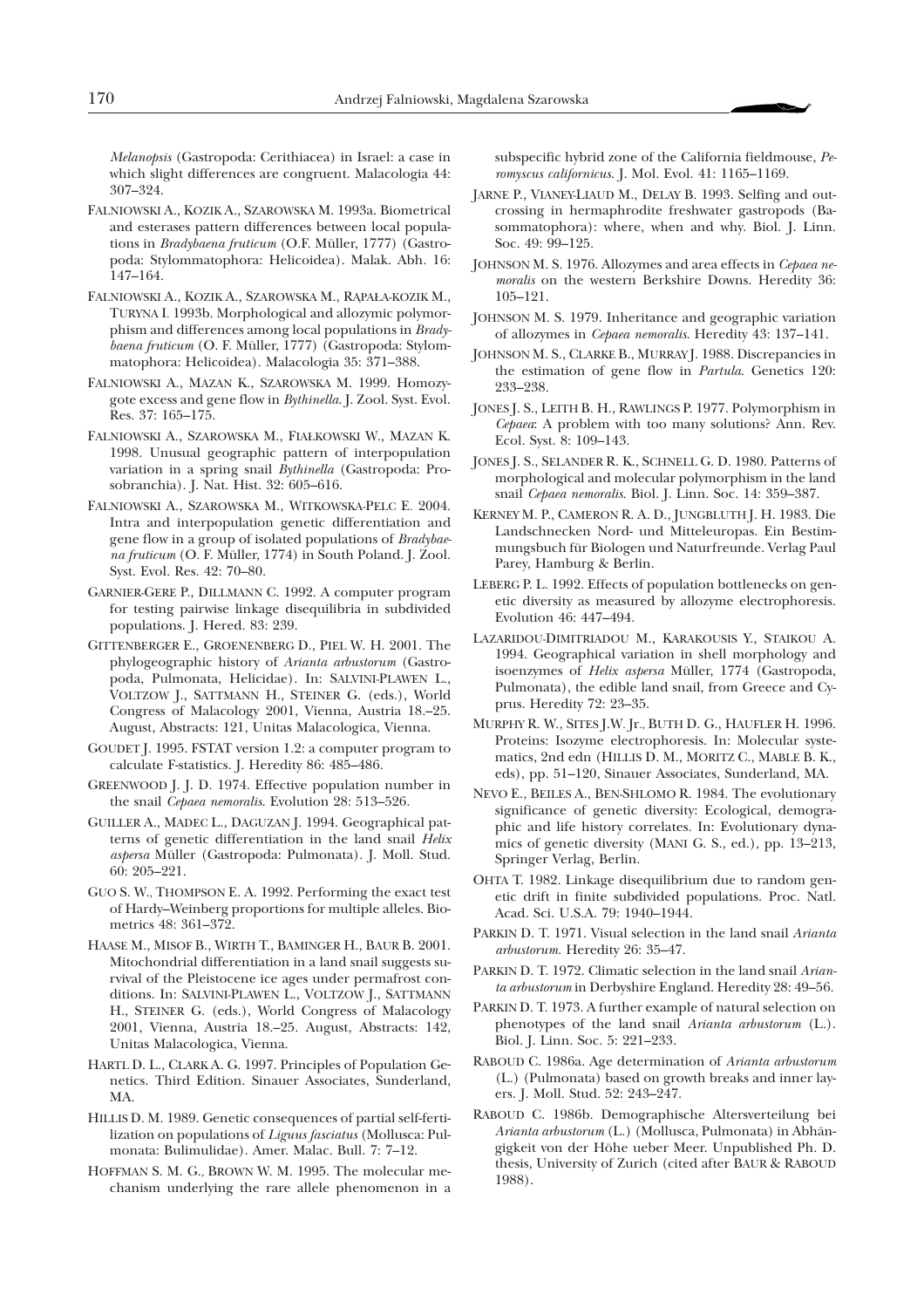*Melanopsis* (Gastropoda: Cerithiacea) in Israel: a case in which slight differences are congruent. Malacologia 44: 307–324.

- FALNIOWSKI A., KOZIK A., SZAROWSKA M. 1993a. Biometrical and esterases pattern differences between local populations in *Bradybaena fruticum* (O.F. Müller, 1777) (Gastropoda: Stylommatophora: Helicoidea). Malak. Abh. 16: 147–164.
- FALNIOWSKI A., KOZIK A., SZAROWSKA M., RĄPAŁA-KOZIK M., TURYNA I. 1993b. Morphological and allozymic polymorphism and differences among local populations in *Bradybaena fruticum* (O. F. Müller, 1777) (Gastropoda: Stylommatophora: Helicoidea). Malacologia 35: 371–388.
- FALNIOWSKI A., MAZAN K., SZAROWSKA M. 1999. Homozygote excess and gene flow in *Bythinella*. J. Zool. Syst. Evol. Res. 37: 165–175.
- FALNIOWSKI A., SZAROWSKA M., FIA£KOWSKI W., MAZAN K. 1998. Unusual geographic pattern of interpopulation variation in a spring snail *Bythinella* (Gastropoda: Prosobranchia). J. Nat. Hist. 32: 605–616.
- FALNIOWSKI A., SZAROWSKA M., WITKOWSKA-PELC E. 2004. Intra and interpopulation genetic differentiation and gene flow in a group of isolated populations of *Bradybaena fruticum* (O. F. Müller, 1774) in South Poland. J. Zool. Syst. Evol. Res. 42: 70–80.
- GARNIER-GERE P., DILLMANN C. 1992. A computer program for testing pairwise linkage disequilibria in subdivided populations. J. Hered. 83: 239.
- GITTENBERGER E., GROENENBERG D., PIEL W. H. 2001. The phylogeographic history of *Arianta arbustorum* (Gastropoda, Pulmonata, Helicidae). In: SALVINI-PLAWEN L., VOLTZOW J., SATTMANN H., STEINER G. (eds.), World Congress of Malacology 2001, Vienna, Austria 18.–25. August, Abstracts: 121, Unitas Malacologica, Vienna.
- GOUDET J. 1995. FSTAT version 1.2: a computer program to calculate F-statistics. J. Heredity 86: 485–486.
- GREENWOOD J. J. D. 1974. Effective population number in the snail *Cepaea nemoralis*. Evolution 28: 513–526.
- GUILLER A., MADEC L., DAGUZAN J. 1994. Geographical patterns of genetic differentiation in the land snail *Helix aspersa* Müller (Gastropoda: Pulmonata). J. Moll. Stud. 60: 205–221.
- GUO S. W., THOMPSON E. A. 1992. Performing the exact test of Hardy–Weinberg proportions for multiple alleles. Biometrics 48: 361–372.
- HAASE M., MISOF B., WIRTH T., BAMINGER H., BAUR B. 2001. Mitochondrial differentiation in a land snail suggests survival of the Pleistocene ice ages under permafrost conditions. In: SALVINI-PLAWEN L., VOLTZOW J., SATTMANN H., STEINER G. (eds.), World Congress of Malacology 2001, Vienna, Austria 18.–25. August, Abstracts: 142, Unitas Malacologica, Vienna.
- HARTL D. L., CLARK A. G. 1997. Principles of Population Genetics. Third Edition. Sinauer Associates, Sunderland, MA.
- HILLIS D. M. 1989. Genetic consequences of partial self-fertilization on populations of *Liguus fasciatus* (Mollusca: Pulmonata: Bulimulidae). Amer. Malac. Bull. 7: 7–12.
- HOFFMAN S. M. G., BROWN W. M. 1995. The molecular mechanism underlying the rare allele phenomenon in a

subspecific hybrid zone of the California fieldmouse, *Peromyscus californicus*. J. Mol. Evol. 41: 1165–1169.

- JARNE P., VIANEY-LIAUD M., DELAY B. 1993. Selfing and outcrossing in hermaphrodite freshwater gastropods (Basommatophora): where, when and why. Biol. J. Linn. Soc. 49: 99–125.
- JOHNSON M. S. 1976. Allozymes and area effects in *Cepaea nemoralis* on the western Berkshire Downs. Heredity 36: 105–121.
- JOHNSON M. S. 1979. Inheritance and geographic variation of allozymes in *Cepaea nemoralis*. Heredity 43: 137–141.
- JOHNSON M. S., CLARKE B., MURRAY J. 1988. Discrepancies in the estimation of gene flow in *Partula*. Genetics 120: 233–238.
- JONES J. S., LEITH B. H., RAWLINGS P. 1977. Polymorphism in *Cepaea*: A problem with too many solutions? Ann. Rev. Ecol. Syst. 8: 109–143.
- JONES J. S., SELANDER R. K., SCHNELL G. D. 1980. Patterns of morphological and molecular polymorphism in the land snail *Cepaea nemoralis*. Biol. J. Linn. Soc. 14: 359–387.
- KERNEY M. P., CAMERON R. A. D., JUNGBLUTH J. H. 1983. Die Landschnecken Nord- und Mitteleuropas. Ein Bestimmungsbuch für Biologen und Naturfreunde. Verlag Paul Parey, Hamburg & Berlin.
- LEBERG P. L. 1992. Effects of population bottlenecks on genetic diversity as measured by allozyme electrophoresis. Evolution 46: 447–494.
- LAZARIDOU-DIMITRIADOU M., KARAKOUSIS Y., STAIKOU A. 1994. Geographical variation in shell morphology and isoenzymes of *Helix aspersa* Müller, 1774 (Gastropoda, Pulmonata), the edible land snail, from Greece and Cyprus. Heredity 72: 23–35.
- MURPHY R. W., SITES J.W. Jr., BUTH D. G., HAUFLER H. 1996. Proteins: Isozyme electrophoresis. In: Molecular systematics, 2nd edn (HILLIS D. M., MORITZ C., MABLE B. K., eds), pp. 51–120, Sinauer Associates, Sunderland, MA.
- NEVO E., BEILES A., BEN-SHLOMO R. 1984. The evolutionary significance of genetic diversity: Ecological, demographic and life history correlates. In: Evolutionary dynamics of genetic diversity (MANI G. S., ed.), pp. 13–213, Springer Verlag, Berlin.
- OHTA T. 1982. Linkage disequilibrium due to random genetic drift in finite subdivided populations. Proc. Natl. Acad. Sci. U.S.A. 79: 1940–1944.
- PARKIN D. T. 1971. Visual selection in the land snail *Arianta arbustorum.* Heredity 26: 35–47.
- PARKIN D. T. 1972. Climatic selection in the land snail *Arianta arbustorum* in Derbyshire England. Heredity 28: 49–56.
- PARKIN D. T. 1973. A further example of natural selection on phenotypes of the land snail *Arianta arbustorum* (L.). Biol. J. Linn. Soc. 5: 221–233.
- RABOUD C. 1986a. Age determination of *Arianta arbustorum* (L.) (Pulmonata) based on growth breaks and inner layers. J. Moll. Stud. 52: 243–247.
- RABOUD C. 1986b. Demographische Altersverteilung bei *Arianta arbustorum* (L.) (Mollusca, Pulmonata) in Abhängigkeit von der Höhe ueber Meer. Unpublished Ph. D. thesis, University of Zurich (cited after BAUR & RABOUD 1988).